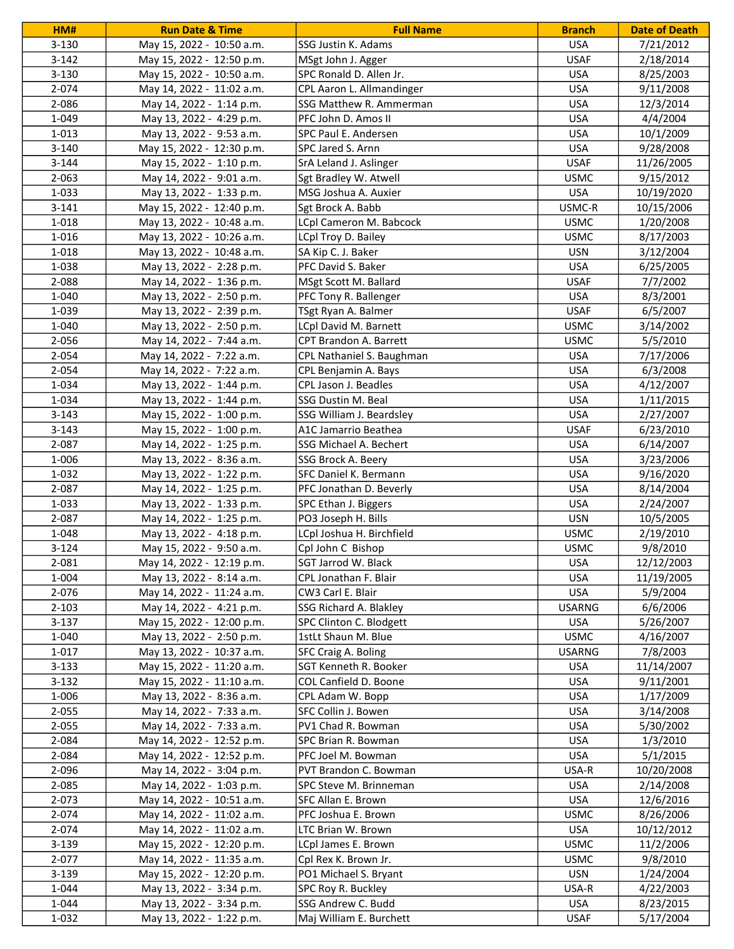| HM#       | <b>Run Date &amp; Time</b> | <b>Full Name</b>          | <b>Branch</b> | <b>Date of Death</b> |
|-----------|----------------------------|---------------------------|---------------|----------------------|
| $3 - 130$ | May 15, 2022 - 10:50 a.m.  | SSG Justin K. Adams       | <b>USA</b>    | 7/21/2012            |
| $3-142$   | May 15, 2022 - 12:50 p.m.  | MSgt John J. Agger        | <b>USAF</b>   | 2/18/2014            |
| $3 - 130$ | May 15, 2022 - 10:50 a.m.  | SPC Ronald D. Allen Jr.   | <b>USA</b>    | 8/25/2003            |
| 2-074     | May 14, 2022 - 11:02 a.m.  | CPL Aaron L. Allmandinger | <b>USA</b>    | 9/11/2008            |
| 2-086     | May 14, 2022 - 1:14 p.m.   | SSG Matthew R. Ammerman   | <b>USA</b>    | 12/3/2014            |
| 1-049     | May 13, 2022 - 4:29 p.m.   | PFC John D. Amos II       | <b>USA</b>    | 4/4/2004             |
| 1-013     | May 13, 2022 - 9:53 a.m.   | SPC Paul E. Andersen      | <b>USA</b>    | 10/1/2009            |
| $3 - 140$ | May 15, 2022 - 12:30 p.m.  | SPC Jared S. Arnn         | <b>USA</b>    | 9/28/2008            |
| $3 - 144$ | May 15, 2022 - 1:10 p.m.   | SrA Leland J. Aslinger    | <b>USAF</b>   | 11/26/2005           |
| $2 - 063$ | May 14, 2022 - 9:01 a.m.   | Sgt Bradley W. Atwell     | <b>USMC</b>   | 9/15/2012            |
| 1-033     | May 13, 2022 - 1:33 p.m.   | MSG Joshua A. Auxier      | <b>USA</b>    | 10/19/2020           |
| $3 - 141$ | May 15, 2022 - 12:40 p.m.  | Sgt Brock A. Babb         | USMC-R        | 10/15/2006           |
| 1-018     | May 13, 2022 - 10:48 a.m.  | LCpl Cameron M. Babcock   | <b>USMC</b>   | 1/20/2008            |
| 1-016     | May 13, 2022 - 10:26 a.m.  | LCpl Troy D. Bailey       | <b>USMC</b>   | 8/17/2003            |
| 1-018     | May 13, 2022 - 10:48 a.m.  | SA Kip C. J. Baker        | <b>USN</b>    | 3/12/2004            |
| 1-038     | May 13, 2022 - 2:28 p.m.   | PFC David S. Baker        | <b>USA</b>    | 6/25/2005            |
| 2-088     | May 14, 2022 - 1:36 p.m.   | MSgt Scott M. Ballard     | <b>USAF</b>   | 7/7/2002             |
| 1-040     | May 13, 2022 - 2:50 p.m.   | PFC Tony R. Ballenger     | <b>USA</b>    | 8/3/2001             |
| 1-039     | May 13, 2022 - 2:39 p.m.   | TSgt Ryan A. Balmer       | <b>USAF</b>   | 6/5/2007             |
| 1-040     | May 13, 2022 - 2:50 p.m.   | LCpl David M. Barnett     | <b>USMC</b>   | 3/14/2002            |
| 2-056     | May 14, 2022 - 7:44 a.m.   | CPT Brandon A. Barrett    | <b>USMC</b>   | 5/5/2010             |
| 2-054     | May 14, 2022 - 7:22 a.m.   | CPL Nathaniel S. Baughman | <b>USA</b>    | 7/17/2006            |
| 2-054     | May 14, 2022 - 7:22 a.m.   | CPL Benjamin A. Bays      | <b>USA</b>    | 6/3/2008             |
| 1-034     | May 13, 2022 - 1:44 p.m.   | CPL Jason J. Beadles      | <b>USA</b>    | 4/12/2007            |
| 1-034     | May 13, 2022 - 1:44 p.m.   | SSG Dustin M. Beal        | <b>USA</b>    | 1/11/2015            |
| $3 - 143$ | May 15, 2022 - 1:00 p.m.   | SSG William J. Beardsley  | <b>USA</b>    | 2/27/2007            |
| $3 - 143$ | May 15, 2022 - 1:00 p.m.   | A1C Jamarrio Beathea      | <b>USAF</b>   | 6/23/2010            |
| 2-087     | May 14, 2022 - 1:25 p.m.   | SSG Michael A. Bechert    | <b>USA</b>    | 6/14/2007            |
| 1-006     | May 13, 2022 - 8:36 a.m.   | SSG Brock A. Beery        | <b>USA</b>    | 3/23/2006            |
| 1-032     | May 13, 2022 - 1:22 p.m.   | SFC Daniel K. Bermann     | <b>USA</b>    | 9/16/2020            |
| 2-087     | May 14, 2022 - 1:25 p.m.   | PFC Jonathan D. Beverly   | <b>USA</b>    | 8/14/2004            |
| 1-033     | May 13, 2022 - 1:33 p.m.   | SPC Ethan J. Biggers      | <b>USA</b>    | 2/24/2007            |
| 2-087     | May 14, 2022 - 1:25 p.m.   | PO3 Joseph H. Bills       | <b>USN</b>    | 10/5/2005            |
| 1-048     | May 13, 2022 - 4:18 p.m.   | LCpl Joshua H. Birchfield | <b>USMC</b>   | 2/19/2010            |
| $3 - 124$ | May 15, 2022 - 9:50 a.m.   | Cpl John C Bishop         | <b>USMC</b>   | 9/8/2010             |
| 2-081     | May 14, 2022 - 12:19 p.m.  | SGT Jarrod W. Black       | <b>USA</b>    | 12/12/2003           |
| 1-004     | May 13, 2022 - 8:14 a.m.   | CPL Jonathan F. Blair     | <b>USA</b>    | 11/19/2005           |
| 2-076     | May 14, 2022 - 11:24 a.m.  | CW3 Carl E. Blair         | <b>USA</b>    | 5/9/2004             |
| $2 - 103$ | May 14, 2022 - 4:21 p.m.   | SSG Richard A. Blakley    | <b>USARNG</b> | 6/6/2006             |
| $3-137$   | May 15, 2022 - 12:00 p.m.  | SPC Clinton C. Blodgett   | <b>USA</b>    | 5/26/2007            |
| 1-040     | May 13, 2022 - 2:50 p.m.   | 1stLt Shaun M. Blue       | <b>USMC</b>   | 4/16/2007            |
| 1-017     | May 13, 2022 - 10:37 a.m.  | SFC Craig A. Boling       | <b>USARNG</b> | 7/8/2003             |
| $3 - 133$ | May 15, 2022 - 11:20 a.m.  | SGT Kenneth R. Booker     | <b>USA</b>    | 11/14/2007           |
| $3 - 132$ | May 15, 2022 - 11:10 a.m.  | COL Canfield D. Boone     | <b>USA</b>    | 9/11/2001            |
| 1-006     | May 13, 2022 - 8:36 a.m.   | CPL Adam W. Bopp          | <b>USA</b>    | 1/17/2009            |
| $2 - 055$ | May 14, 2022 - 7:33 a.m.   | SFC Collin J. Bowen       | <b>USA</b>    | 3/14/2008            |
| $2 - 055$ | May 14, 2022 - 7:33 a.m.   | PV1 Chad R. Bowman        | <b>USA</b>    | 5/30/2002            |
| 2-084     | May 14, 2022 - 12:52 p.m.  | SPC Brian R. Bowman       | <b>USA</b>    | 1/3/2010             |
| 2-084     | May 14, 2022 - 12:52 p.m.  | PFC Joel M. Bowman        | <b>USA</b>    | 5/1/2015             |
| 2-096     | May 14, 2022 - 3:04 p.m.   | PVT Brandon C. Bowman     | USA-R         | 10/20/2008           |
| 2-085     | May 14, 2022 - 1:03 p.m.   | SPC Steve M. Brinneman    | <b>USA</b>    | 2/14/2008            |
| 2-073     | May 14, 2022 - 10:51 a.m.  | SFC Allan E. Brown        | <b>USA</b>    | 12/6/2016            |
| 2-074     | May 14, 2022 - 11:02 a.m.  | PFC Joshua E. Brown       | <b>USMC</b>   | 8/26/2006            |
| 2-074     | May 14, 2022 - 11:02 a.m.  | LTC Brian W. Brown        | <b>USA</b>    | 10/12/2012           |
| $3 - 139$ | May 15, 2022 - 12:20 p.m.  | LCpl James E. Brown       | <b>USMC</b>   | 11/2/2006            |
| 2-077     | May 14, 2022 - 11:35 a.m.  | Cpl Rex K. Brown Jr.      | <b>USMC</b>   | 9/8/2010             |
| $3 - 139$ | May 15, 2022 - 12:20 p.m.  | PO1 Michael S. Bryant     | USN           | 1/24/2004            |
| 1-044     | May 13, 2022 - 3:34 p.m.   | SPC Roy R. Buckley        | USA-R         | 4/22/2003            |
| 1-044     | May 13, 2022 - 3:34 p.m.   | SSG Andrew C. Budd        | <b>USA</b>    | 8/23/2015            |
| 1-032     | May 13, 2022 - 1:22 p.m.   | Maj William E. Burchett   | <b>USAF</b>   | 5/17/2004            |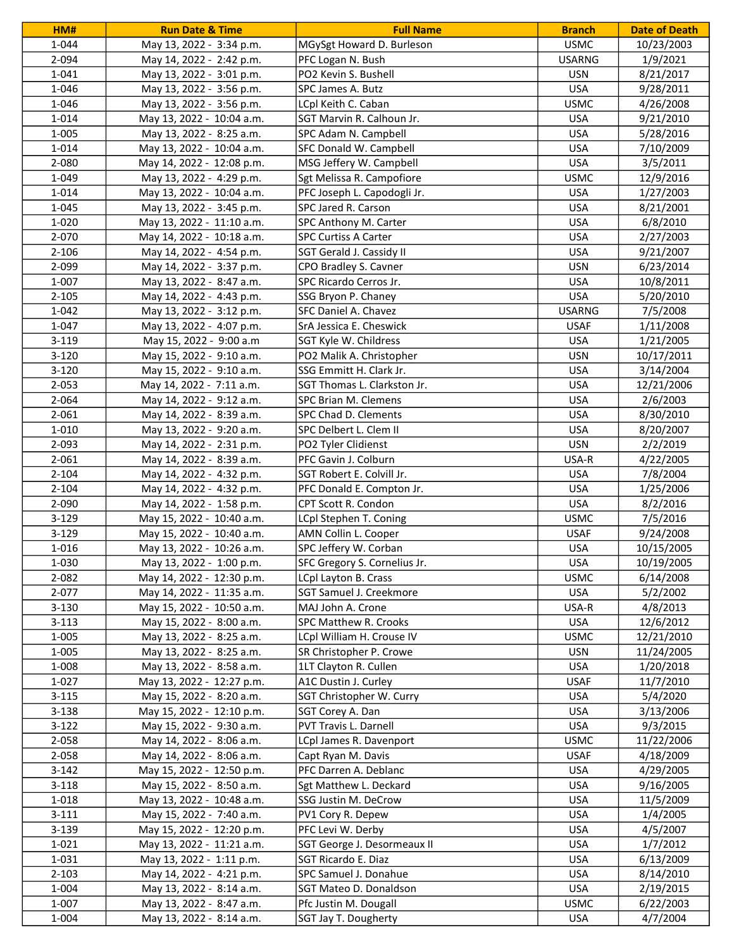| HM#       | <b>Run Date &amp; Time</b> | <b>Full Name</b>                                    | <b>Branch</b> | <b>Date of Death</b> |
|-----------|----------------------------|-----------------------------------------------------|---------------|----------------------|
| 1-044     | May 13, 2022 - 3:34 p.m.   | MGySgt Howard D. Burleson                           | <b>USMC</b>   | 10/23/2003           |
| 2-094     | May 14, 2022 - 2:42 p.m.   | PFC Logan N. Bush                                   | <b>USARNG</b> | 1/9/2021             |
| 1-041     | May 13, 2022 - 3:01 p.m.   | PO2 Kevin S. Bushell                                | <b>USN</b>    | 8/21/2017            |
| 1-046     | May 13, 2022 - 3:56 p.m.   | SPC James A. Butz                                   | <b>USA</b>    | 9/28/2011            |
| 1-046     | May 13, 2022 - 3:56 p.m.   | LCpl Keith C. Caban                                 | <b>USMC</b>   | 4/26/2008            |
| 1-014     | May 13, 2022 - 10:04 a.m.  | SGT Marvin R. Calhoun Jr.                           | <b>USA</b>    | 9/21/2010            |
| 1-005     | May 13, 2022 - 8:25 a.m.   | SPC Adam N. Campbell                                | <b>USA</b>    | 5/28/2016            |
| 1-014     | May 13, 2022 - 10:04 a.m.  | SFC Donald W. Campbell                              | <b>USA</b>    | 7/10/2009            |
| 2-080     | May 14, 2022 - 12:08 p.m.  | MSG Jeffery W. Campbell                             | <b>USA</b>    | 3/5/2011             |
| 1-049     | May 13, 2022 - 4:29 p.m.   | Sgt Melissa R. Campofiore                           | <b>USMC</b>   | 12/9/2016            |
| 1-014     | May 13, 2022 - 10:04 a.m.  | PFC Joseph L. Capodogli Jr.                         | <b>USA</b>    | 1/27/2003            |
| 1-045     | May 13, 2022 - 3:45 p.m.   | SPC Jared R. Carson                                 | <b>USA</b>    | 8/21/2001            |
| 1-020     | May 13, 2022 - 11:10 a.m.  | SPC Anthony M. Carter                               | <b>USA</b>    | 6/8/2010             |
| 2-070     | May 14, 2022 - 10:18 a.m.  | <b>SPC Curtiss A Carter</b>                         | <b>USA</b>    | 2/27/2003            |
| $2 - 106$ | May 14, 2022 - 4:54 p.m.   | SGT Gerald J. Cassidy II                            | <b>USA</b>    | 9/21/2007            |
| 2-099     | May 14, 2022 - 3:37 p.m.   | CPO Bradley S. Cavner                               | <b>USN</b>    | 6/23/2014            |
| 1-007     | May 13, 2022 - 8:47 a.m.   | SPC Ricardo Cerros Jr.                              | <b>USA</b>    | 10/8/2011            |
| $2 - 105$ | May 14, 2022 - 4:43 p.m.   | SSG Bryon P. Chaney                                 | <b>USA</b>    | 5/20/2010            |
| 1-042     | May 13, 2022 - 3:12 p.m.   | SFC Daniel A. Chavez                                | <b>USARNG</b> | 7/5/2008             |
| 1-047     | May 13, 2022 - 4:07 p.m.   | SrA Jessica E. Cheswick                             | <b>USAF</b>   | 1/11/2008            |
| $3 - 119$ | May 15, 2022 - 9:00 a.m    | SGT Kyle W. Childress                               | <b>USA</b>    | 1/21/2005            |
|           | May 15, 2022 - 9:10 a.m.   |                                                     | <b>USN</b>    |                      |
| $3-120$   |                            | PO2 Malik A. Christopher<br>SSG Emmitt H. Clark Jr. |               | 10/17/2011           |
| $3-120$   | May 15, 2022 - 9:10 a.m.   |                                                     | <b>USA</b>    | 3/14/2004            |
| $2 - 053$ | May 14, 2022 - 7:11 a.m.   | SGT Thomas L. Clarkston Jr.                         | <b>USA</b>    | 12/21/2006           |
| 2-064     | May 14, 2022 - 9:12 a.m.   | SPC Brian M. Clemens                                | <b>USA</b>    | 2/6/2003             |
| 2-061     | May 14, 2022 - 8:39 a.m.   | SPC Chad D. Clements                                | <b>USA</b>    | 8/30/2010            |
| 1-010     | May 13, 2022 - 9:20 a.m.   | SPC Delbert L. Clem II                              | <b>USA</b>    | 8/20/2007            |
| 2-093     | May 14, 2022 - 2:31 p.m.   | PO2 Tyler Clidienst                                 | <b>USN</b>    | 2/2/2019             |
| 2-061     | May 14, 2022 - 8:39 a.m.   | PFC Gavin J. Colburn                                | USA-R         | 4/22/2005            |
| $2 - 104$ | May 14, 2022 - 4:32 p.m.   | SGT Robert E. Colvill Jr.                           | <b>USA</b>    | 7/8/2004             |
| $2 - 104$ | May 14, 2022 - 4:32 p.m.   | PFC Donald E. Compton Jr.                           | <b>USA</b>    | 1/25/2006            |
| 2-090     | May 14, 2022 - 1:58 p.m.   | CPT Scott R. Condon                                 | <b>USA</b>    | 8/2/2016             |
| $3-129$   | May 15, 2022 - 10:40 a.m.  | LCpl Stephen T. Coning                              | <b>USMC</b>   | 7/5/2016             |
| $3-129$   | May 15, 2022 - 10:40 a.m.  | AMN Collin L. Cooper                                | <b>USAF</b>   | 9/24/2008            |
| 1-016     | May 13, 2022 - 10:26 a.m.  | SPC Jeffery W. Corban                               | <b>USA</b>    | 10/15/2005           |
| 1-030     | May 13, 2022 - 1:00 p.m.   | SFC Gregory S. Cornelius Jr.                        | <b>USA</b>    | 10/19/2005           |
| 2-082     | May 14, 2022 - 12:30 p.m.  | LCpl Layton B. Crass                                | <b>USMC</b>   | 6/14/2008            |
| 2-077     | May 14, 2022 - 11:35 a.m.  | SGT Samuel J. Creekmore                             | <b>USA</b>    | 5/2/2002             |
| $3 - 130$ | May 15, 2022 - 10:50 a.m.  | MAJ John A. Crone                                   | USA-R         | 4/8/2013             |
| $3 - 113$ | May 15, 2022 - 8:00 a.m.   | SPC Matthew R. Crooks                               | <b>USA</b>    | 12/6/2012            |
| 1-005     | May 13, 2022 - 8:25 a.m.   | LCpl William H. Crouse IV                           | <b>USMC</b>   | 12/21/2010           |
| 1-005     | May 13, 2022 - 8:25 a.m.   | SR Christopher P. Crowe                             | <b>USN</b>    | 11/24/2005           |
| 1-008     | May 13, 2022 - 8:58 a.m.   | 1LT Clayton R. Cullen                               | <b>USA</b>    | 1/20/2018            |
| 1-027     | May 13, 2022 - 12:27 p.m.  | A1C Dustin J. Curley                                | <b>USAF</b>   | 11/7/2010            |
| $3 - 115$ | May 15, 2022 - 8:20 a.m.   | SGT Christopher W. Curry                            | <b>USA</b>    | 5/4/2020             |
| $3 - 138$ | May 15, 2022 - 12:10 p.m.  | SGT Corey A. Dan                                    | <b>USA</b>    | 3/13/2006            |
| $3-122$   | May 15, 2022 - 9:30 a.m.   | PVT Travis L. Darnell                               | <b>USA</b>    | 9/3/2015             |
| 2-058     | May 14, 2022 - 8:06 a.m.   | LCpl James R. Davenport                             | <b>USMC</b>   | 11/22/2006           |
| 2-058     | May 14, 2022 - 8:06 a.m.   | Capt Ryan M. Davis                                  | <b>USAF</b>   | 4/18/2009            |
| $3-142$   | May 15, 2022 - 12:50 p.m.  | PFC Darren A. Deblanc                               | <b>USA</b>    | 4/29/2005            |
| $3 - 118$ | May 15, 2022 - 8:50 a.m.   | Sgt Matthew L. Deckard                              | <b>USA</b>    | 9/16/2005            |
| 1-018     | May 13, 2022 - 10:48 a.m.  | SSG Justin M. DeCrow                                | <b>USA</b>    | 11/5/2009            |
| $3 - 111$ | May 15, 2022 - 7:40 a.m.   | PV1 Cory R. Depew                                   | <b>USA</b>    | 1/4/2005             |
| $3 - 139$ | May 15, 2022 - 12:20 p.m.  | PFC Levi W. Derby                                   | <b>USA</b>    | 4/5/2007             |
| 1-021     | May 13, 2022 - 11:21 a.m.  | SGT George J. Desormeaux II                         | <b>USA</b>    | 1/7/2012             |
| 1-031     | May 13, 2022 - 1:11 p.m.   | SGT Ricardo E. Diaz                                 | <b>USA</b>    | 6/13/2009            |
| $2 - 103$ | May 14, 2022 - 4:21 p.m.   | SPC Samuel J. Donahue                               | <b>USA</b>    | 8/14/2010            |
| 1-004     | May 13, 2022 - 8:14 a.m.   | SGT Mateo D. Donaldson                              | <b>USA</b>    | 2/19/2015            |
| 1-007     | May 13, 2022 - 8:47 a.m.   | Pfc Justin M. Dougall                               | <b>USMC</b>   | 6/22/2003            |
| 1-004     | May 13, 2022 - 8:14 a.m.   | SGT Jay T. Dougherty                                | <b>USA</b>    | 4/7/2004             |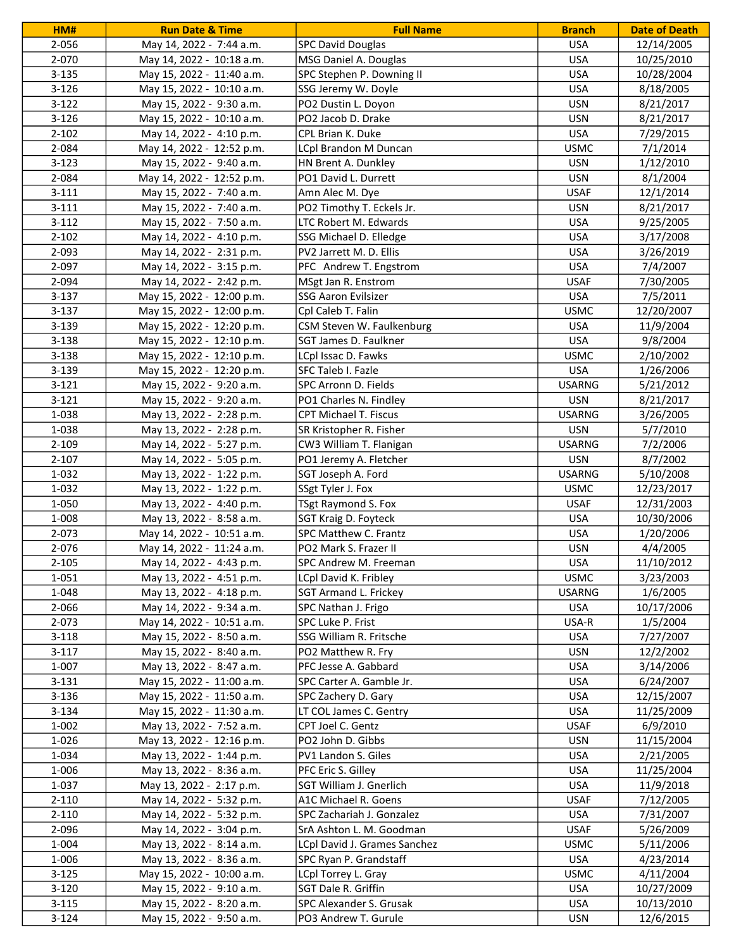| HM#       | <b>Run Date &amp; Time</b> | <b>Full Name</b>             | <b>Branch</b> | <b>Date of Death</b> |
|-----------|----------------------------|------------------------------|---------------|----------------------|
| 2-056     | May 14, 2022 - 7:44 a.m.   | <b>SPC David Douglas</b>     | <b>USA</b>    | 12/14/2005           |
| 2-070     | May 14, 2022 - 10:18 a.m.  | MSG Daniel A. Douglas        | <b>USA</b>    | 10/25/2010           |
| $3 - 135$ | May 15, 2022 - 11:40 a.m.  | SPC Stephen P. Downing II    | <b>USA</b>    | 10/28/2004           |
| $3-126$   | May 15, 2022 - 10:10 a.m.  | SSG Jeremy W. Doyle          | <b>USA</b>    | 8/18/2005            |
| $3-122$   | May 15, 2022 - 9:30 a.m.   | PO2 Dustin L. Doyon          | <b>USN</b>    | 8/21/2017            |
| $3 - 126$ | May 15, 2022 - 10:10 a.m.  | PO2 Jacob D. Drake           | <b>USN</b>    | 8/21/2017            |
| $2 - 102$ | May 14, 2022 - 4:10 p.m.   | CPL Brian K. Duke            | <b>USA</b>    | 7/29/2015            |
| 2-084     | May 14, 2022 - 12:52 p.m.  | LCpl Brandon M Duncan        | <b>USMC</b>   | 7/1/2014             |
| $3 - 123$ | May 15, 2022 - 9:40 a.m.   | HN Brent A. Dunkley          | <b>USN</b>    | 1/12/2010            |
| 2-084     | May 14, 2022 - 12:52 p.m.  | PO1 David L. Durrett         | <b>USN</b>    | 8/1/2004             |
| $3 - 111$ | May 15, 2022 - 7:40 a.m.   | Amn Alec M. Dye              | <b>USAF</b>   | 12/1/2014            |
| $3 - 111$ | May 15, 2022 - 7:40 a.m.   | PO2 Timothy T. Eckels Jr.    | <b>USN</b>    | 8/21/2017            |
| $3-112$   | May 15, 2022 - 7:50 a.m.   | LTC Robert M. Edwards        | <b>USA</b>    | 9/25/2005            |
| $2 - 102$ | May 14, 2022 - 4:10 p.m.   | SSG Michael D. Elledge       | <b>USA</b>    | 3/17/2008            |
| 2-093     | May 14, 2022 - 2:31 p.m.   | PV2 Jarrett M. D. Ellis      | <b>USA</b>    | 3/26/2019            |
| 2-097     | May 14, 2022 - 3:15 p.m.   | PFC Andrew T. Engstrom       | <b>USA</b>    | 7/4/2007             |
| 2-094     | May 14, 2022 - 2:42 p.m.   | MSgt Jan R. Enstrom          | <b>USAF</b>   | 7/30/2005            |
| $3-137$   | May 15, 2022 - 12:00 p.m.  | SSG Aaron Evilsizer          | <b>USA</b>    | 7/5/2011             |
| $3-137$   | May 15, 2022 - 12:00 p.m.  | Cpl Caleb T. Falin           | <b>USMC</b>   | 12/20/2007           |
| 3-139     | May 15, 2022 - 12:20 p.m.  | CSM Steven W. Faulkenburg    | <b>USA</b>    | 11/9/2004            |
| 3-138     | May 15, 2022 - 12:10 p.m.  | SGT James D. Faulkner        | <b>USA</b>    | 9/8/2004             |
| 3-138     |                            |                              | <b>USMC</b>   |                      |
|           | May 15, 2022 - 12:10 p.m.  | LCpl Issac D. Fawks          |               | 2/10/2002            |
| 3-139     | May 15, 2022 - 12:20 p.m.  | SFC Taleb I. Fazle           | <b>USA</b>    | 1/26/2006            |
| $3 - 121$ | May 15, 2022 - 9:20 a.m.   | SPC Arronn D. Fields         | <b>USARNG</b> | 5/21/2012            |
| $3 - 121$ | May 15, 2022 - 9:20 a.m.   | PO1 Charles N. Findley       | <b>USN</b>    | 8/21/2017            |
| 1-038     | May 13, 2022 - 2:28 p.m.   | CPT Michael T. Fiscus        | <b>USARNG</b> | 3/26/2005            |
| 1-038     | May 13, 2022 - 2:28 p.m.   | SR Kristopher R. Fisher      | <b>USN</b>    | 5/7/2010             |
| 2-109     | May 14, 2022 - 5:27 p.m.   | CW3 William T. Flanigan      | <b>USARNG</b> | 7/2/2006             |
| $2 - 107$ | May 14, 2022 - 5:05 p.m.   | PO1 Jeremy A. Fletcher       | <b>USN</b>    | 8/7/2002             |
| 1-032     | May 13, 2022 - 1:22 p.m.   | SGT Joseph A. Ford           | <b>USARNG</b> | 5/10/2008            |
| 1-032     | May 13, 2022 - 1:22 p.m.   | SSgt Tyler J. Fox            | <b>USMC</b>   | 12/23/2017           |
| 1-050     | May 13, 2022 - 4:40 p.m.   | TSgt Raymond S. Fox          | <b>USAF</b>   | 12/31/2003           |
| 1-008     | May 13, 2022 - 8:58 a.m.   | SGT Kraig D. Foyteck         | <b>USA</b>    | 10/30/2006           |
| 2-073     | May 14, 2022 - 10:51 a.m.  | SPC Matthew C. Frantz        | <b>USA</b>    | 1/20/2006            |
| 2-076     | May 14, 2022 - 11:24 a.m.  | PO2 Mark S. Frazer II        | <b>USN</b>    | 4/4/2005             |
| $2 - 105$ | May 14, 2022 - 4:43 p.m.   | SPC Andrew M. Freeman        | <b>USA</b>    | 11/10/2012           |
| $1 - 051$ | May 13, 2022 - 4:51 p.m.   | LCpl David K. Fribley        | <b>USMC</b>   | 3/23/2003            |
| 1-048     | May 13, 2022 - 4:18 p.m.   | SGT Armand L. Frickey        | <b>USARNG</b> | 1/6/2005             |
| 2-066     | May 14, 2022 - 9:34 a.m.   | SPC Nathan J. Frigo          | <b>USA</b>    | 10/17/2006           |
| 2-073     | May 14, 2022 - 10:51 a.m.  | SPC Luke P. Frist            | USA-R         | 1/5/2004             |
| $3 - 118$ | May 15, 2022 - 8:50 a.m.   | SSG William R. Fritsche      | <b>USA</b>    | 7/27/2007            |
| $3-117$   | May 15, 2022 - 8:40 a.m.   | PO2 Matthew R. Fry           | <b>USN</b>    | 12/2/2002            |
| 1-007     | May 13, 2022 - 8:47 a.m.   | PFC Jesse A. Gabbard         | <b>USA</b>    | 3/14/2006            |
| $3 - 131$ | May 15, 2022 - 11:00 a.m.  | SPC Carter A. Gamble Jr.     | <b>USA</b>    | 6/24/2007            |
| $3 - 136$ | May 15, 2022 - 11:50 a.m.  | SPC Zachery D. Gary          | <b>USA</b>    | 12/15/2007           |
| $3 - 134$ | May 15, 2022 - 11:30 a.m.  | LT COL James C. Gentry       | <b>USA</b>    | 11/25/2009           |
| 1-002     | May 13, 2022 - 7:52 a.m.   | CPT Joel C. Gentz            | <b>USAF</b>   | 6/9/2010             |
| 1-026     | May 13, 2022 - 12:16 p.m.  | PO2 John D. Gibbs            | <b>USN</b>    | 11/15/2004           |
| 1-034     | May 13, 2022 - 1:44 p.m.   | PV1 Landon S. Giles          | <b>USA</b>    | 2/21/2005            |
| 1-006     | May 13, 2022 - 8:36 a.m.   | PFC Eric S. Gilley           | <b>USA</b>    | 11/25/2004           |
| 1-037     | May 13, 2022 - 2:17 p.m.   | SGT William J. Gnerlich      | <b>USA</b>    | 11/9/2018            |
| 2-110     | May 14, 2022 - 5:32 p.m.   | A1C Michael R. Goens         | <b>USAF</b>   | 7/12/2005            |
| 2-110     | May 14, 2022 - 5:32 p.m.   | SPC Zachariah J. Gonzalez    | <b>USA</b>    | 7/31/2007            |
| 2-096     | May 14, 2022 - 3:04 p.m.   | SrA Ashton L. M. Goodman     | <b>USAF</b>   | 5/26/2009            |
| 1-004     | May 13, 2022 - 8:14 a.m.   | LCpl David J. Grames Sanchez | <b>USMC</b>   | 5/11/2006            |
| 1-006     | May 13, 2022 - 8:36 a.m.   | SPC Ryan P. Grandstaff       | <b>USA</b>    | 4/23/2014            |
| $3 - 125$ | May 15, 2022 - 10:00 a.m.  | LCpl Torrey L. Gray          | <b>USMC</b>   | 4/11/2004            |
| $3-120$   | May 15, 2022 - 9:10 a.m.   | SGT Dale R. Griffin          | <b>USA</b>    | 10/27/2009           |
| $3 - 115$ | May 15, 2022 - 8:20 a.m.   | SPC Alexander S. Grusak      | USA           | 10/13/2010           |
| $3-124$   | May 15, 2022 - 9:50 a.m.   | PO3 Andrew T. Gurule         | <b>USN</b>    | 12/6/2015            |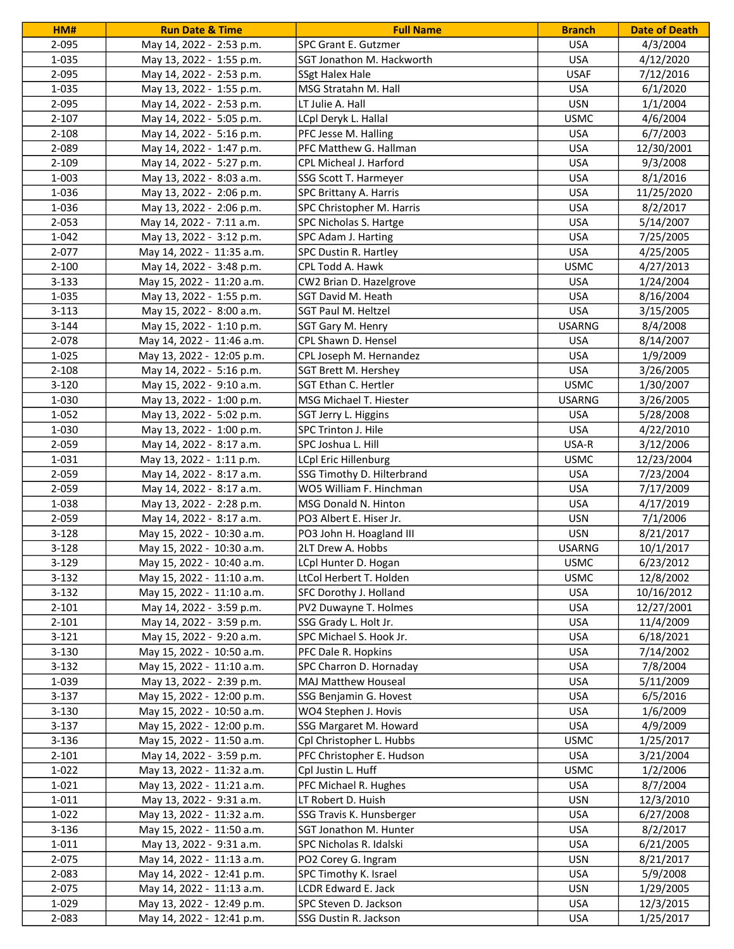| HM#            | <b>Run Date &amp; Time</b>                             | <b>Full Name</b>                               | <b>Branch</b>            | <b>Date of Death</b>   |
|----------------|--------------------------------------------------------|------------------------------------------------|--------------------------|------------------------|
| 2-095          | May 14, 2022 - 2:53 p.m.                               | SPC Grant E. Gutzmer                           | <b>USA</b>               | 4/3/2004               |
| 1-035          | May 13, 2022 - 1:55 p.m.                               | SGT Jonathon M. Hackworth                      | <b>USA</b>               | 4/12/2020              |
| 2-095          | May 14, 2022 - 2:53 p.m.                               | <b>SSgt Halex Hale</b>                         | <b>USAF</b>              | 7/12/2016              |
| 1-035          | May 13, 2022 - 1:55 p.m.                               | MSG Stratahn M. Hall                           | <b>USA</b>               | 6/1/2020               |
| 2-095          | May 14, 2022 - 2:53 p.m.                               | LT Julie A. Hall                               | <b>USN</b>               | 1/1/2004               |
| $2 - 107$      | May 14, 2022 - 5:05 p.m.                               | LCpl Deryk L. Hallal                           | <b>USMC</b>              | 4/6/2004               |
| $2 - 108$      | May 14, 2022 - 5:16 p.m.                               | PFC Jesse M. Halling                           | <b>USA</b>               | 6/7/2003               |
| 2-089          | May 14, 2022 - 1:47 p.m.                               | PFC Matthew G. Hallman                         | <b>USA</b>               | 12/30/2001             |
| $2 - 109$      | May 14, 2022 - 5:27 p.m.                               | CPL Micheal J. Harford                         | <b>USA</b>               | 9/3/2008               |
| 1-003          | May 13, 2022 - 8:03 a.m.                               | SSG Scott T. Harmeyer                          | <b>USA</b>               | 8/1/2016               |
| 1-036          | May 13, 2022 - 2:06 p.m.                               | SPC Brittany A. Harris                         | <b>USA</b>               | 11/25/2020             |
| 1-036          | May 13, 2022 - 2:06 p.m.                               | SPC Christopher M. Harris                      | <b>USA</b>               | 8/2/2017               |
| $2 - 053$      | May 14, 2022 - 7:11 a.m.                               | SPC Nicholas S. Hartge                         | <b>USA</b>               | 5/14/2007              |
| 1-042          | May 13, 2022 - 3:12 p.m.                               | SPC Adam J. Harting                            | <b>USA</b>               | 7/25/2005              |
| 2-077          | May 14, 2022 - 11:35 a.m.                              | SPC Dustin R. Hartley                          | <b>USA</b>               | 4/25/2005              |
| $2 - 100$      | May 14, 2022 - 3:48 p.m.                               | CPL Todd A. Hawk                               | <b>USMC</b>              | 4/27/2013              |
| $3 - 133$      | May 15, 2022 - 11:20 a.m.                              | CW2 Brian D. Hazelgrove                        | <b>USA</b>               | 1/24/2004              |
| 1-035          | May 13, 2022 - 1:55 p.m.                               | SGT David M. Heath                             | <b>USA</b>               | 8/16/2004              |
| $3 - 113$      | May 15, 2022 - 8:00 a.m.                               | SGT Paul M. Heltzel                            | <b>USA</b>               | 3/15/2005              |
| $3 - 144$      | May 15, 2022 - 1:10 p.m.                               | SGT Gary M. Henry                              | <b>USARNG</b>            | 8/4/2008               |
| 2-078          | May 14, 2022 - 11:46 a.m.                              | CPL Shawn D. Hensel                            | <b>USA</b>               | 8/14/2007              |
| 1-025          | May 13, 2022 - 12:05 p.m.                              | CPL Joseph M. Hernandez                        | <b>USA</b>               | 1/9/2009               |
| $2 - 108$      | May 14, 2022 - 5:16 p.m.                               | SGT Brett M. Hershey                           | <b>USA</b>               | 3/26/2005              |
| $3 - 120$      | May 15, 2022 - 9:10 a.m.                               | SGT Ethan C. Hertler                           | <b>USMC</b>              | 1/30/2007              |
| 1-030          | May 13, 2022 - 1:00 p.m.                               | MSG Michael T. Hiester                         | <b>USARNG</b>            | 3/26/2005              |
| 1-052          | May 13, 2022 - 5:02 p.m.                               | SGT Jerry L. Higgins                           | <b>USA</b>               | 5/28/2008              |
| 1-030          | May 13, 2022 - 1:00 p.m.                               | SPC Trinton J. Hile                            | <b>USA</b>               | 4/22/2010              |
| 2-059          | May 14, 2022 - 8:17 a.m.                               | SPC Joshua L. Hill                             | USA-R                    | 3/12/2006              |
| 1-031          | May 13, 2022 - 1:11 p.m.                               | <b>LCpl Eric Hillenburg</b>                    | <b>USMC</b>              | 12/23/2004             |
| 2-059          | May 14, 2022 - 8:17 a.m.                               | SSG Timothy D. Hilterbrand                     | <b>USA</b>               | 7/23/2004              |
| 2-059          | May 14, 2022 - 8:17 a.m.                               | WO5 William F. Hinchman                        | <b>USA</b>               | 7/17/2009              |
| 1-038          | May 13, 2022 - 2:28 p.m.                               | MSG Donald N. Hinton                           | <b>USA</b>               | 4/17/2019              |
| 2-059          | May 14, 2022 - 8:17 a.m.                               | PO3 Albert E. Hiser Jr.                        | <b>USN</b>               | 7/1/2006               |
| $3 - 128$      | May 15, 2022 - 10:30 a.m.                              | PO3 John H. Hoagland III                       | <b>USN</b>               | 8/21/2017              |
| $3 - 128$      | May 15, 2022 - 10:30 a.m.                              | 2LT Drew A. Hobbs                              | <b>USARNG</b>            | 10/1/2017              |
| 3-129          | May 15, 2022 - 10:40 a.m.                              | LCpl Hunter D. Hogan                           | <b>USMC</b>              | 6/23/2012              |
| $3-132$        | May 15, 2022 - 11:10 a.m.                              | LtCol Herbert T. Holden                        | <b>USMC</b>              | 12/8/2002              |
| $3 - 132$      | May 15, 2022 - 11:10 a.m.                              | SFC Dorothy J. Holland                         | <b>USA</b>               | 10/16/2012             |
| $2 - 101$      | May 14, 2022 - 3:59 p.m.                               | PV2 Duwayne T. Holmes                          | <b>USA</b>               | 12/27/2001             |
| $2 - 101$      | May 14, 2022 - 3:59 p.m.                               | SSG Grady L. Holt Jr.                          | <b>USA</b>               | 11/4/2009              |
| $3-121$        | May 15, 2022 - 9:20 a.m.                               | SPC Michael S. Hook Jr.                        | <b>USA</b>               | 6/18/2021              |
| $3 - 130$      | May 15, 2022 - 10:50 a.m.                              | PFC Dale R. Hopkins                            | <b>USA</b>               | 7/14/2002              |
| $3 - 132$      | May 15, 2022 - 11:10 a.m.                              | SPC Charron D. Hornaday                        | <b>USA</b>               | 7/8/2004               |
| 1-039          | May 13, 2022 - 2:39 p.m.                               | MAJ Matthew Houseal                            | <b>USA</b>               | 5/11/2009              |
| $3-137$        | May 15, 2022 - 12:00 p.m.                              | SSG Benjamin G. Hovest                         | <b>USA</b>               | 6/5/2016               |
| $3 - 130$      | May 15, 2022 - 10:50 a.m.                              | WO4 Stephen J. Hovis                           | <b>USA</b>               | 1/6/2009               |
| $3-137$        | May 15, 2022 - 12:00 p.m.                              | SSG Margaret M. Howard                         | <b>USA</b>               | 4/9/2009               |
| $3 - 136$      | May 15, 2022 - 11:50 a.m.                              | Cpl Christopher L. Hubbs                       | <b>USMC</b>              | 1/25/2017              |
| $2 - 101$      | May 14, 2022 - 3:59 p.m.                               | PFC Christopher E. Hudson                      | USA                      | 3/21/2004              |
| $1 - 022$      | May 13, 2022 - 11:32 a.m.                              | Cpl Justin L. Huff                             | <b>USMC</b>              | 1/2/2006               |
| 1-021          | May 13, 2022 - 11:21 a.m.                              | PFC Michael R. Hughes                          | <b>USA</b>               | 8/7/2004               |
| 1-011          | May 13, 2022 - 9:31 a.m.                               | LT Robert D. Huish                             | <b>USN</b>               | 12/3/2010              |
| $1 - 022$      | May 13, 2022 - 11:32 a.m.                              | SSG Travis K. Hunsberger                       | <b>USA</b>               | 6/27/2008              |
| $3 - 136$      | May 15, 2022 - 11:50 a.m.                              | SGT Jonathon M. Hunter                         | <b>USA</b>               | 8/2/2017               |
| 1-011          | May 13, 2022 - 9:31 a.m.                               | SPC Nicholas R. Idalski                        | <b>USA</b>               | 6/21/2005              |
| 2-075          | May 14, 2022 - 11:13 a.m.                              | PO2 Corey G. Ingram                            | <b>USN</b>               | 8/21/2017              |
| 2-083          |                                                        | SPC Timothy K. Israel                          | <b>USA</b>               |                        |
|                | May 14, 2022 - 12:41 p.m.                              |                                                |                          | 5/9/2008               |
| 2-075          | May 14, 2022 - 11:13 a.m.                              | LCDR Edward E. Jack                            | <b>USN</b>               | 1/29/2005              |
| 1-029<br>2-083 | May 13, 2022 - 12:49 p.m.<br>May 14, 2022 - 12:41 p.m. | SPC Steven D. Jackson<br>SSG Dustin R. Jackson | <b>USA</b><br><b>USA</b> | 12/3/2015<br>1/25/2017 |
|                |                                                        |                                                |                          |                        |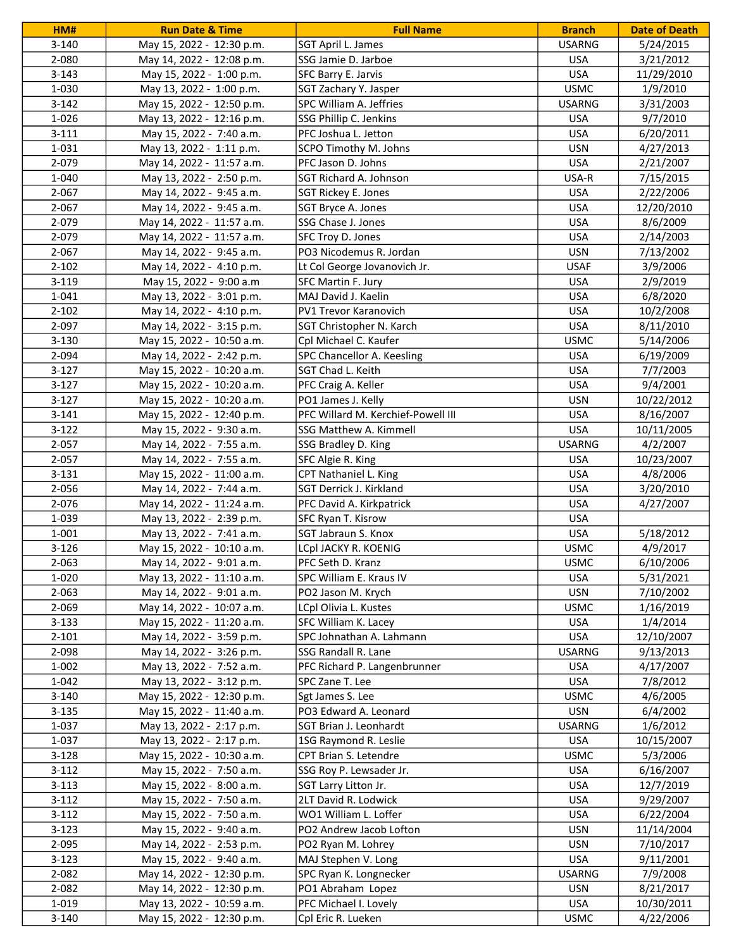| HM#       | <b>Run Date &amp; Time</b> | <b>Full Name</b>                   | <b>Branch</b> | <b>Date of Death</b> |
|-----------|----------------------------|------------------------------------|---------------|----------------------|
| $3 - 140$ | May 15, 2022 - 12:30 p.m.  | SGT April L. James                 | <b>USARNG</b> | 5/24/2015            |
| 2-080     | May 14, 2022 - 12:08 p.m.  | SSG Jamie D. Jarboe                | <b>USA</b>    | 3/21/2012            |
| $3 - 143$ | May 15, 2022 - 1:00 p.m.   | SFC Barry E. Jarvis                | <b>USA</b>    | 11/29/2010           |
| 1-030     | May 13, 2022 - 1:00 p.m.   | SGT Zachary Y. Jasper              | <b>USMC</b>   | 1/9/2010             |
| $3-142$   | May 15, 2022 - 12:50 p.m.  | SPC William A. Jeffries            | <b>USARNG</b> | 3/31/2003            |
| 1-026     | May 13, 2022 - 12:16 p.m.  | SSG Phillip C. Jenkins             | <b>USA</b>    | 9/7/2010             |
| $3 - 111$ | May 15, 2022 - 7:40 a.m.   | PFC Joshua L. Jetton               | <b>USA</b>    | 6/20/2011            |
| 1-031     | May 13, 2022 - 1:11 p.m.   | SCPO Timothy M. Johns              | <b>USN</b>    | 4/27/2013            |
| 2-079     | May 14, 2022 - 11:57 a.m.  | PFC Jason D. Johns                 | <b>USA</b>    | 2/21/2007            |
| 1-040     | May 13, 2022 - 2:50 p.m.   | SGT Richard A. Johnson             | USA-R         | 7/15/2015            |
| 2-067     | May 14, 2022 - 9:45 a.m.   | <b>SGT Rickey E. Jones</b>         | <b>USA</b>    | 2/22/2006            |
| 2-067     | May 14, 2022 - 9:45 a.m.   | SGT Bryce A. Jones                 | <b>USA</b>    | 12/20/2010           |
| 2-079     | May 14, 2022 - 11:57 a.m.  | SSG Chase J. Jones                 | <b>USA</b>    | 8/6/2009             |
| 2-079     | May 14, 2022 - 11:57 a.m.  | SFC Troy D. Jones                  | <b>USA</b>    | 2/14/2003            |
| 2-067     | May 14, 2022 - 9:45 a.m.   | PO3 Nicodemus R. Jordan            | <b>USN</b>    | 7/13/2002            |
| $2 - 102$ | May 14, 2022 - 4:10 p.m.   | Lt Col George Jovanovich Jr.       | <b>USAF</b>   | 3/9/2006             |
| $3-119$   | May 15, 2022 - 9:00 a.m    | SFC Martin F. Jury                 | <b>USA</b>    | 2/9/2019             |
| 1-041     | May 13, 2022 - 3:01 p.m.   | MAJ David J. Kaelin                | <b>USA</b>    | 6/8/2020             |
| $2 - 102$ | May 14, 2022 - 4:10 p.m.   | PV1 Trevor Karanovich              | <b>USA</b>    | 10/2/2008            |
| 2-097     | May 14, 2022 - 3:15 p.m.   | SGT Christopher N. Karch           | <b>USA</b>    | 8/11/2010            |
| $3 - 130$ | May 15, 2022 - 10:50 a.m.  | Cpl Michael C. Kaufer              | <b>USMC</b>   | 5/14/2006            |
| 2-094     | May 14, 2022 - 2:42 p.m.   | SPC Chancellor A. Keesling         | <b>USA</b>    | 6/19/2009            |
| $3-127$   | May 15, 2022 - 10:20 a.m.  | SGT Chad L. Keith                  | <b>USA</b>    | 7/7/2003             |
| $3-127$   | May 15, 2022 - 10:20 a.m.  | PFC Craig A. Keller                | <b>USA</b>    | 9/4/2001             |
| $3-127$   | May 15, 2022 - 10:20 a.m.  | PO1 James J. Kelly                 | <b>USN</b>    | 10/22/2012           |
| $3 - 141$ | May 15, 2022 - 12:40 p.m.  | PFC Willard M. Kerchief-Powell III | <b>USA</b>    | 8/16/2007            |
| $3-122$   | May 15, 2022 - 9:30 a.m.   | SSG Matthew A. Kimmell             | <b>USA</b>    | 10/11/2005           |
| $2 - 057$ | May 14, 2022 - 7:55 a.m.   | SSG Bradley D. King                | <b>USARNG</b> | 4/2/2007             |
| $2 - 057$ | May 14, 2022 - 7:55 a.m.   | SFC Algie R. King                  | <b>USA</b>    | 10/23/2007           |
| 3-131     | May 15, 2022 - 11:00 a.m.  | CPT Nathaniel L. King              | <b>USA</b>    | 4/8/2006             |
| 2-056     | May 14, 2022 - 7:44 a.m.   | SGT Derrick J. Kirkland            | <b>USA</b>    | 3/20/2010            |
| 2-076     | May 14, 2022 - 11:24 a.m.  | PFC David A. Kirkpatrick           | <b>USA</b>    | 4/27/2007            |
| 1-039     | May 13, 2022 - 2:39 p.m.   | SFC Ryan T. Kisrow                 | <b>USA</b>    |                      |
| 1-001     | May 13, 2022 - 7:41 a.m.   | SGT Jabraun S. Knox                | <b>USA</b>    | 5/18/2012            |
| $3 - 126$ | May 15, 2022 - 10:10 a.m.  | LCpl JACKY R. KOENIG               | <b>USMC</b>   | 4/9/2017             |
| 2-063     | May 14, 2022 - 9:01 a.m.   | PFC Seth D. Kranz                  | <b>USMC</b>   | 6/10/2006            |
| 1-020     | May 13, 2022 - 11:10 a.m.  | SPC William E. Kraus IV            | <b>USA</b>    | 5/31/2021            |
| 2-063     | May 14, 2022 - 9:01 a.m.   | PO2 Jason M. Krych                 | <b>USN</b>    | 7/10/2002            |
| 2-069     | May 14, 2022 - 10:07 a.m.  | LCpl Olivia L. Kustes              | <b>USMC</b>   | 1/16/2019            |
| $3 - 133$ | May 15, 2022 - 11:20 a.m.  | SFC William K. Lacey               | <b>USA</b>    | 1/4/2014             |
| $2 - 101$ | May 14, 2022 - 3:59 p.m.   | SPC Johnathan A. Lahmann           | <b>USA</b>    | 12/10/2007           |
| 2-098     | May 14, 2022 - 3:26 p.m.   | SSG Randall R. Lane                | <b>USARNG</b> | 9/13/2013            |
| 1-002     | May 13, 2022 - 7:52 a.m.   | PFC Richard P. Langenbrunner       | <b>USA</b>    | 4/17/2007            |
| 1-042     | May 13, 2022 - 3:12 p.m.   | SPC Zane T. Lee                    | <b>USA</b>    | 7/8/2012             |
| $3 - 140$ | May 15, 2022 - 12:30 p.m.  | Sgt James S. Lee                   | <b>USMC</b>   | 4/6/2005             |
| $3 - 135$ | May 15, 2022 - 11:40 a.m.  | PO3 Edward A. Leonard              | <b>USN</b>    | 6/4/2002             |
| 1-037     | May 13, 2022 - 2:17 p.m.   | SGT Brian J. Leonhardt             | <b>USARNG</b> | 1/6/2012             |
| 1-037     | May 13, 2022 - 2:17 p.m.   | 1SG Raymond R. Leslie              | <b>USA</b>    | 10/15/2007           |
| $3-128$   | May 15, 2022 - 10:30 a.m.  | CPT Brian S. Letendre              | <b>USMC</b>   | 5/3/2006             |
| $3 - 112$ | May 15, 2022 - 7:50 a.m.   | SSG Roy P. Lewsader Jr.            | <b>USA</b>    | 6/16/2007            |
| $3 - 113$ | May 15, 2022 - 8:00 a.m.   | SGT Larry Litton Jr.               | <b>USA</b>    | 12/7/2019            |
| $3-112$   | May 15, 2022 - 7:50 a.m.   | 2LT David R. Lodwick               | <b>USA</b>    | 9/29/2007            |
| $3-112$   | May 15, 2022 - 7:50 a.m.   | WO1 William L. Loffer              | <b>USA</b>    | 6/22/2004            |
| $3 - 123$ | May 15, 2022 - 9:40 a.m.   | PO2 Andrew Jacob Lofton            | <b>USN</b>    | 11/14/2004           |
| 2-095     | May 14, 2022 - 2:53 p.m.   | PO2 Ryan M. Lohrey                 | <b>USN</b>    | 7/10/2017            |
| $3 - 123$ | May 15, 2022 - 9:40 a.m.   | MAJ Stephen V. Long                | <b>USA</b>    | 9/11/2001            |
| 2-082     | May 14, 2022 - 12:30 p.m.  | SPC Ryan K. Longnecker             | <b>USARNG</b> | 7/9/2008             |
| 2-082     | May 14, 2022 - 12:30 p.m.  | PO1 Abraham Lopez                  | <b>USN</b>    | 8/21/2017            |
| 1-019     | May 13, 2022 - 10:59 a.m.  | PFC Michael I. Lovely              | USA           | 10/30/2011           |
| $3 - 140$ | May 15, 2022 - 12:30 p.m.  | Cpl Eric R. Lueken                 | <b>USMC</b>   | 4/22/2006            |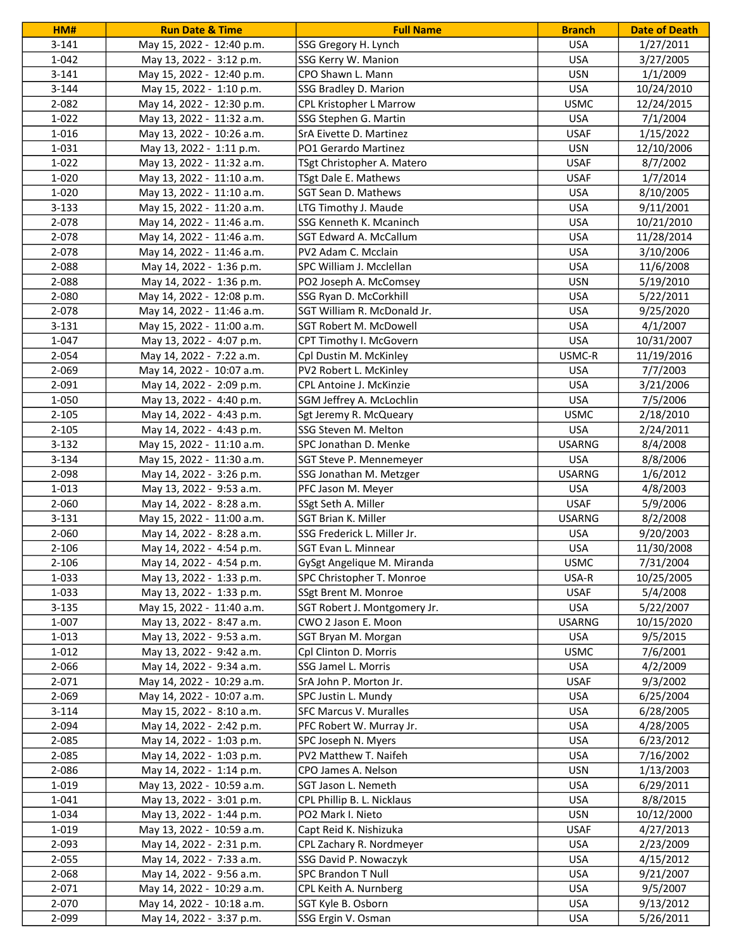| HM#       | <b>Run Date &amp; Time</b> | <b>Full Name</b>               | <b>Branch</b> | <b>Date of Death</b> |
|-----------|----------------------------|--------------------------------|---------------|----------------------|
| $3 - 141$ | May 15, 2022 - 12:40 p.m.  | SSG Gregory H. Lynch           | <b>USA</b>    | 1/27/2011            |
| 1-042     | May 13, 2022 - 3:12 p.m.   | SSG Kerry W. Manion            | <b>USA</b>    | 3/27/2005            |
| $3 - 141$ | May 15, 2022 - 12:40 p.m.  | CPO Shawn L. Mann              | <b>USN</b>    | 1/1/2009             |
| $3 - 144$ | May 15, 2022 - 1:10 p.m.   | SSG Bradley D. Marion          | <b>USA</b>    | 10/24/2010           |
| 2-082     | May 14, 2022 - 12:30 p.m.  | <b>CPL Kristopher L Marrow</b> | <b>USMC</b>   | 12/24/2015           |
| $1 - 022$ | May 13, 2022 - 11:32 a.m.  | SSG Stephen G. Martin          | <b>USA</b>    | 7/1/2004             |
| 1-016     | May 13, 2022 - 10:26 a.m.  | SrA Eivette D. Martinez        | <b>USAF</b>   | 1/15/2022            |
| 1-031     | May 13, 2022 - 1:11 p.m.   | PO1 Gerardo Martinez           | <b>USN</b>    | 12/10/2006           |
| $1 - 022$ | May 13, 2022 - 11:32 a.m.  | TSgt Christopher A. Matero     | <b>USAF</b>   | 8/7/2002             |
| 1-020     | May 13, 2022 - 11:10 a.m.  | TSgt Dale E. Mathews           | <b>USAF</b>   | 1/7/2014             |
| 1-020     | May 13, 2022 - 11:10 a.m.  | SGT Sean D. Mathews            | <b>USA</b>    | 8/10/2005            |
| $3 - 133$ | May 15, 2022 - 11:20 a.m.  | LTG Timothy J. Maude           | <b>USA</b>    | 9/11/2001            |
| 2-078     | May 14, 2022 - 11:46 a.m.  | SSG Kenneth K. Mcaninch        | <b>USA</b>    | 10/21/2010           |
| 2-078     | May 14, 2022 - 11:46 a.m.  | SGT Edward A. McCallum         | <b>USA</b>    | 11/28/2014           |
| 2-078     | May 14, 2022 - 11:46 a.m.  | PV2 Adam C. Mcclain            | <b>USA</b>    | 3/10/2006            |
| 2-088     | May 14, 2022 - 1:36 p.m.   | SPC William J. Mcclellan       | <b>USA</b>    | 11/6/2008            |
| 2-088     | May 14, 2022 - 1:36 p.m.   | PO2 Joseph A. McComsey         | <b>USN</b>    | 5/19/2010            |
| 2-080     | May 14, 2022 - 12:08 p.m.  | SSG Ryan D. McCorkhill         | <b>USA</b>    | 5/22/2011            |
| 2-078     | May 14, 2022 - 11:46 a.m.  | SGT William R. McDonald Jr.    | <b>USA</b>    | 9/25/2020            |
| $3 - 131$ | May 15, 2022 - 11:00 a.m.  | SGT Robert M. McDowell         | <b>USA</b>    | 4/1/2007             |
| 1-047     | May 13, 2022 - 4:07 p.m.   | CPT Timothy I. McGovern        | <b>USA</b>    | 10/31/2007           |
| 2-054     | May 14, 2022 - 7:22 a.m.   | Cpl Dustin M. McKinley         | USMC-R        | 11/19/2016           |
| 2-069     | May 14, 2022 - 10:07 a.m.  | PV2 Robert L. McKinley         | <b>USA</b>    | 7/7/2003             |
| 2-091     | May 14, 2022 - 2:09 p.m.   | CPL Antoine J. McKinzie        | <b>USA</b>    | 3/21/2006            |
| 1-050     | May 13, 2022 - 4:40 p.m.   | SGM Jeffrey A. McLochlin       | <b>USA</b>    | 7/5/2006             |
| $2 - 105$ | May 14, 2022 - 4:43 p.m.   | Sgt Jeremy R. McQueary         | <b>USMC</b>   | 2/18/2010            |
| $2 - 105$ | May 14, 2022 - 4:43 p.m.   | SSG Steven M. Melton           | <b>USA</b>    | 2/24/2011            |
| $3 - 132$ | May 15, 2022 - 11:10 a.m.  | SPC Jonathan D. Menke          | <b>USARNG</b> | 8/4/2008             |
| 3-134     | May 15, 2022 - 11:30 a.m.  | SGT Steve P. Mennemeyer        | <b>USA</b>    | 8/8/2006             |
| 2-098     | May 14, 2022 - 3:26 p.m.   | SSG Jonathan M. Metzger        | <b>USARNG</b> | 1/6/2012             |
| 1-013     | May 13, 2022 - 9:53 a.m.   | PFC Jason M. Meyer             | <b>USA</b>    | 4/8/2003             |
| 2-060     | May 14, 2022 - 8:28 a.m.   | SSgt Seth A. Miller            | <b>USAF</b>   | 5/9/2006             |
| $3 - 131$ | May 15, 2022 - 11:00 a.m.  | SGT Brian K. Miller            | <b>USARNG</b> | 8/2/2008             |
| 2-060     | May 14, 2022 - 8:28 a.m.   | SSG Frederick L. Miller Jr.    | <b>USA</b>    | 9/20/2003            |
| 2-106     | May 14, 2022 - 4:54 p.m.   | SGT Evan L. Minnear            | <b>USA</b>    | 11/30/2008           |
| $2 - 106$ | May 14, 2022 - 4:54 p.m.   | GySgt Angelique M. Miranda     | <b>USMC</b>   | 7/31/2004            |
| 1-033     | May 13, 2022 - 1:33 p.m.   | SPC Christopher T. Monroe      | USA-R         | 10/25/2005           |
| 1-033     | May 13, 2022 - 1:33 p.m.   | SSgt Brent M. Monroe           | <b>USAF</b>   | 5/4/2008             |
| $3 - 135$ | May 15, 2022 - 11:40 a.m.  | SGT Robert J. Montgomery Jr.   | <b>USA</b>    | 5/22/2007            |
| 1-007     | May 13, 2022 - 8:47 a.m.   | CWO 2 Jason E. Moon            | <b>USARNG</b> | 10/15/2020           |
| 1-013     | May 13, 2022 - 9:53 a.m.   | SGT Bryan M. Morgan            | <b>USA</b>    | 9/5/2015             |
| 1-012     | May 13, 2022 - 9:42 a.m.   | Cpl Clinton D. Morris          | <b>USMC</b>   | 7/6/2001             |
| 2-066     | May 14, 2022 - 9:34 a.m.   | SSG Jamel L. Morris            | <b>USA</b>    | 4/2/2009             |
| 2-071     | May 14, 2022 - 10:29 a.m.  | SrA John P. Morton Jr.         | <b>USAF</b>   | 9/3/2002             |
| 2-069     | May 14, 2022 - 10:07 a.m.  | SPC Justin L. Mundy            | <b>USA</b>    | 6/25/2004            |
| $3 - 114$ | May 15, 2022 - 8:10 a.m.   | <b>SFC Marcus V. Muralles</b>  | <b>USA</b>    | 6/28/2005            |
| 2-094     | May 14, 2022 - 2:42 p.m.   | PFC Robert W. Murray Jr.       | <b>USA</b>    | 4/28/2005            |
| 2-085     | May 14, 2022 - 1:03 p.m.   | SPC Joseph N. Myers            | <b>USA</b>    | 6/23/2012            |
| 2-085     | May 14, 2022 - 1:03 p.m.   | PV2 Matthew T. Naifeh          | USA           | 7/16/2002            |
| 2-086     | May 14, 2022 - 1:14 p.m.   | CPO James A. Nelson            | <b>USN</b>    | 1/13/2003            |
| 1-019     | May 13, 2022 - 10:59 a.m.  | SGT Jason L. Nemeth            | <b>USA</b>    | 6/29/2011            |
| 1-041     | May 13, 2022 - 3:01 p.m.   | CPL Phillip B. L. Nicklaus     | <b>USA</b>    | 8/8/2015             |
| 1-034     | May 13, 2022 - 1:44 p.m.   | PO2 Mark I. Nieto              | <b>USN</b>    | 10/12/2000           |
| 1-019     | May 13, 2022 - 10:59 a.m.  | Capt Reid K. Nishizuka         | <b>USAF</b>   | 4/27/2013            |
| 2-093     | May 14, 2022 - 2:31 p.m.   | CPL Zachary R. Nordmeyer       | <b>USA</b>    | 2/23/2009            |
| $2 - 055$ | May 14, 2022 - 7:33 a.m.   | SSG David P. Nowaczyk          | <b>USA</b>    | 4/15/2012            |
| 2-068     | May 14, 2022 - 9:56 a.m.   | SPC Brandon T Null             | <b>USA</b>    | 9/21/2007            |
| 2-071     | May 14, 2022 - 10:29 a.m.  | CPL Keith A. Nurnberg          | <b>USA</b>    | 9/5/2007             |
| 2-070     | May 14, 2022 - 10:18 a.m.  | SGT Kyle B. Osborn             | <b>USA</b>    | 9/13/2012            |
| 2-099     | May 14, 2022 - 3:37 p.m.   | SSG Ergin V. Osman             | <b>USA</b>    | 5/26/2011            |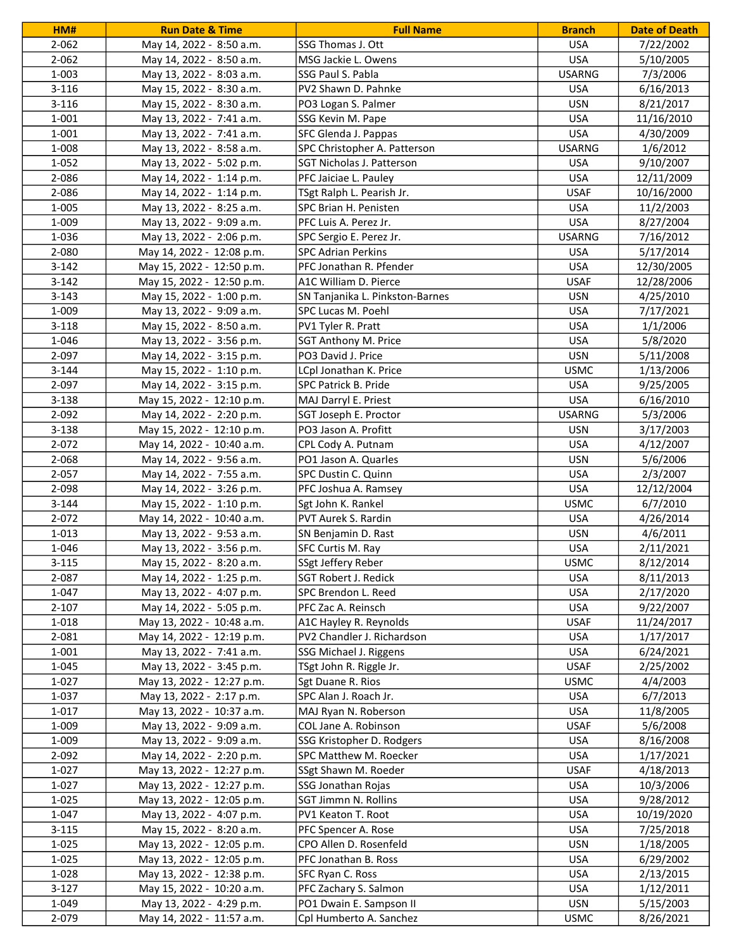| HM#       | <b>Run Date &amp; Time</b> | <b>Full Name</b>                                  | <b>Branch</b> | <b>Date of Death</b> |
|-----------|----------------------------|---------------------------------------------------|---------------|----------------------|
| $2 - 062$ | May 14, 2022 - 8:50 a.m.   | SSG Thomas J. Ott                                 | <b>USA</b>    | 7/22/2002            |
| 2-062     | May 14, 2022 - 8:50 a.m.   | MSG Jackie L. Owens                               | <b>USA</b>    | 5/10/2005            |
| 1-003     | May 13, 2022 - 8:03 a.m.   | SSG Paul S. Pabla                                 | <b>USARNG</b> | 7/3/2006             |
| $3 - 116$ | May 15, 2022 - 8:30 a.m.   | PV2 Shawn D. Pahnke                               | <b>USA</b>    | 6/16/2013            |
| $3 - 116$ | May 15, 2022 - 8:30 a.m.   | PO3 Logan S. Palmer                               | <b>USN</b>    | 8/21/2017            |
| 1-001     | May 13, 2022 - 7:41 a.m.   | SSG Kevin M. Pape                                 | <b>USA</b>    | 11/16/2010           |
| 1-001     | May 13, 2022 - 7:41 a.m.   | SFC Glenda J. Pappas                              | <b>USA</b>    | 4/30/2009            |
| 1-008     | May 13, 2022 - 8:58 a.m.   | SPC Christopher A. Patterson                      | <b>USARNG</b> | 1/6/2012             |
| $1 - 052$ | May 13, 2022 - 5:02 p.m.   | SGT Nicholas J. Patterson                         | <b>USA</b>    | 9/10/2007            |
| 2-086     | May 14, 2022 - 1:14 p.m.   | PFC Jaiciae L. Pauley                             | <b>USA</b>    | 12/11/2009           |
| 2-086     | May 14, 2022 - 1:14 p.m.   | TSgt Ralph L. Pearish Jr.                         | <b>USAF</b>   | 10/16/2000           |
| 1-005     | May 13, 2022 - 8:25 a.m.   | SPC Brian H. Penisten                             | <b>USA</b>    | 11/2/2003            |
| 1-009     | May 13, 2022 - 9:09 a.m.   | PFC Luis A. Perez Jr.                             | <b>USA</b>    | 8/27/2004            |
| 1-036     | May 13, 2022 - 2:06 p.m.   | SPC Sergio E. Perez Jr.                           | <b>USARNG</b> | 7/16/2012            |
| 2-080     | May 14, 2022 - 12:08 p.m.  | <b>SPC Adrian Perkins</b>                         | <b>USA</b>    | 5/17/2014            |
| $3-142$   | May 15, 2022 - 12:50 p.m.  | PFC Jonathan R. Pfender                           | <b>USA</b>    | 12/30/2005           |
| $3 - 142$ | May 15, 2022 - 12:50 p.m.  | A1C William D. Pierce                             | <b>USAF</b>   | 12/28/2006           |
| $3 - 143$ | May 15, 2022 - 1:00 p.m.   | SN Tanjanika L. Pinkston-Barnes                   | <b>USN</b>    | 4/25/2010            |
| 1-009     | May 13, 2022 - 9:09 a.m.   | SPC Lucas M. Poehl                                | <b>USA</b>    | 7/17/2021            |
| $3 - 118$ | May 15, 2022 - 8:50 a.m.   |                                                   | <b>USA</b>    | 1/1/2006             |
| 1-046     | May 13, 2022 - 3:56 p.m.   | PV1 Tyler R. Pratt<br><b>SGT Anthony M. Price</b> | <b>USA</b>    | 5/8/2020             |
| 2-097     |                            | PO3 David J. Price                                | <b>USN</b>    |                      |
|           | May 14, 2022 - 3:15 p.m.   |                                                   |               | 5/11/2008            |
| $3 - 144$ | May 15, 2022 - 1:10 p.m.   | LCpl Jonathan K. Price                            | <b>USMC</b>   | 1/13/2006            |
| 2-097     | May 14, 2022 - 3:15 p.m.   | SPC Patrick B. Pride                              | <b>USA</b>    | 9/25/2005            |
| $3 - 138$ | May 15, 2022 - 12:10 p.m.  | MAJ Darryl E. Priest                              | <b>USA</b>    | 6/16/2010            |
| 2-092     | May 14, 2022 - 2:20 p.m.   | SGT Joseph E. Proctor                             | <b>USARNG</b> | 5/3/2006             |
| $3 - 138$ | May 15, 2022 - 12:10 p.m.  | PO3 Jason A. Profitt                              | <b>USN</b>    | 3/17/2003            |
| 2-072     | May 14, 2022 - 10:40 a.m.  | CPL Cody A. Putnam                                | <b>USA</b>    | 4/12/2007            |
| 2-068     | May 14, 2022 - 9:56 a.m.   | PO1 Jason A. Quarles                              | <b>USN</b>    | 5/6/2006             |
| 2-057     | May 14, 2022 - 7:55 a.m.   | SPC Dustin C. Quinn                               | <b>USA</b>    | 2/3/2007             |
| 2-098     | May 14, 2022 - 3:26 p.m.   | PFC Joshua A. Ramsey                              | <b>USA</b>    | 12/12/2004           |
| $3 - 144$ | May 15, 2022 - 1:10 p.m.   | Sgt John K. Rankel                                | <b>USMC</b>   | 6/7/2010             |
| 2-072     | May 14, 2022 - 10:40 a.m.  | PVT Aurek S. Rardin                               | <b>USA</b>    | 4/26/2014            |
| 1-013     | May 13, 2022 - 9:53 a.m.   | SN Benjamin D. Rast                               | <b>USN</b>    | 4/6/2011             |
| 1-046     | May 13, 2022 - 3:56 p.m.   | SFC Curtis M. Ray                                 | <b>USA</b>    | 2/11/2021            |
| $3 - 115$ | May 15, 2022 - 8:20 a.m.   | SSgt Jeffery Reber                                | <b>USMC</b>   | 8/12/2014            |
| 2-087     | May 14, 2022 - 1:25 p.m.   | <b>SGT Robert J. Redick</b>                       | <b>USA</b>    | 8/11/2013            |
| 1-047     | May 13, 2022 - 4:07 p.m.   | SPC Brendon L. Reed                               | <b>USA</b>    | 2/17/2020            |
| $2 - 107$ | May 14, 2022 - 5:05 p.m.   | PFC Zac A. Reinsch                                | <b>USA</b>    | 9/22/2007            |
| 1-018     | May 13, 2022 - 10:48 a.m.  | A1C Hayley R. Reynolds                            | <b>USAF</b>   | 11/24/2017           |
| 2-081     | May 14, 2022 - 12:19 p.m.  | PV2 Chandler J. Richardson                        | <b>USA</b>    | 1/17/2017            |
| 1-001     | May 13, 2022 - 7:41 a.m.   | SSG Michael J. Riggens                            | <b>USA</b>    | 6/24/2021            |
| 1-045     | May 13, 2022 - 3:45 p.m.   | TSgt John R. Riggle Jr.                           | <b>USAF</b>   | 2/25/2002            |
| $1 - 027$ | May 13, 2022 - 12:27 p.m.  | Sgt Duane R. Rios                                 | <b>USMC</b>   | 4/4/2003             |
| 1-037     | May 13, 2022 - 2:17 p.m.   | SPC Alan J. Roach Jr.                             | <b>USA</b>    | 6/7/2013             |
| 1-017     | May 13, 2022 - 10:37 a.m.  | MAJ Ryan N. Roberson                              | <b>USA</b>    | 11/8/2005            |
| 1-009     | May 13, 2022 - 9:09 a.m.   | COL Jane A. Robinson                              | <b>USAF</b>   | 5/6/2008             |
| 1-009     | May 13, 2022 - 9:09 a.m.   | SSG Kristopher D. Rodgers                         | <b>USA</b>    | 8/16/2008            |
| 2-092     | May 14, 2022 - 2:20 p.m.   | SPC Matthew M. Roecker                            | <b>USA</b>    | 1/17/2021            |
| 1-027     | May 13, 2022 - 12:27 p.m.  | SSgt Shawn M. Roeder                              | <b>USAF</b>   | 4/18/2013            |
| 1-027     | May 13, 2022 - 12:27 p.m.  | SSG Jonathan Rojas                                | <b>USA</b>    | 10/3/2006            |
| 1-025     | May 13, 2022 - 12:05 p.m.  | SGT Jimmn N. Rollins                              | <b>USA</b>    | 9/28/2012            |
| 1-047     | May 13, 2022 - 4:07 p.m.   | PV1 Keaton T. Root                                | <b>USA</b>    | 10/19/2020           |
| $3 - 115$ | May 15, 2022 - 8:20 a.m.   | PFC Spencer A. Rose                               | <b>USA</b>    | 7/25/2018            |
| 1-025     | May 13, 2022 - 12:05 p.m.  | CPO Allen D. Rosenfeld                            | <b>USN</b>    | 1/18/2005            |
| 1-025     | May 13, 2022 - 12:05 p.m.  | PFC Jonathan B. Ross                              | <b>USA</b>    | 6/29/2002            |
| 1-028     | May 13, 2022 - 12:38 p.m.  | SFC Ryan C. Ross                                  | <b>USA</b>    | 2/13/2015            |
| $3-127$   | May 15, 2022 - 10:20 a.m.  | PFC Zachary S. Salmon                             | <b>USA</b>    | 1/12/2011            |
| 1-049     | May 13, 2022 - 4:29 p.m.   | PO1 Dwain E. Sampson II                           | USN           | 5/15/2003            |
| 2-079     | May 14, 2022 - 11:57 a.m.  | Cpl Humberto A. Sanchez                           | <b>USMC</b>   | 8/26/2021            |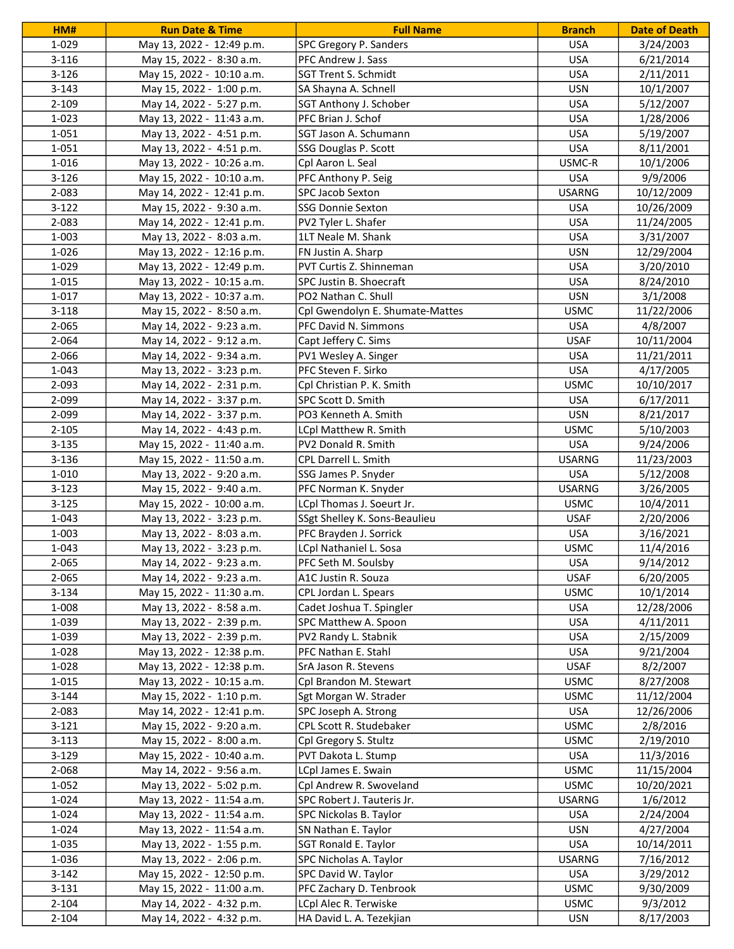| HM#       | <b>Run Date &amp; Time</b> | <b>Full Name</b>                | <b>Branch</b> | <b>Date of Death</b> |
|-----------|----------------------------|---------------------------------|---------------|----------------------|
| 1-029     | May 13, 2022 - 12:49 p.m.  | SPC Gregory P. Sanders          | <b>USA</b>    | 3/24/2003            |
| 3-116     | May 15, 2022 - 8:30 a.m.   | PFC Andrew J. Sass              | <b>USA</b>    | 6/21/2014            |
| $3 - 126$ | May 15, 2022 - 10:10 a.m.  | SGT Trent S. Schmidt            | <b>USA</b>    | 2/11/2011            |
| $3 - 143$ | May 15, 2022 - 1:00 p.m.   | SA Shayna A. Schnell            | <b>USN</b>    | 10/1/2007            |
| 2-109     | May 14, 2022 - 5:27 p.m.   | SGT Anthony J. Schober          | <b>USA</b>    | 5/12/2007            |
| 1-023     | May 13, 2022 - 11:43 a.m.  | PFC Brian J. Schof              | <b>USA</b>    | 1/28/2006            |
| $1 - 051$ | May 13, 2022 - 4:51 p.m.   | SGT Jason A. Schumann           | <b>USA</b>    | 5/19/2007            |
| 1-051     | May 13, 2022 - 4:51 p.m.   | SSG Douglas P. Scott            | <b>USA</b>    | 8/11/2001            |
| 1-016     | May 13, 2022 - 10:26 a.m.  | Cpl Aaron L. Seal               | USMC-R        | 10/1/2006            |
| $3-126$   | May 15, 2022 - 10:10 a.m.  | PFC Anthony P. Seig             | <b>USA</b>    | 9/9/2006             |
| 2-083     | May 14, 2022 - 12:41 p.m.  | SPC Jacob Sexton                | <b>USARNG</b> | 10/12/2009           |
| $3-122$   | May 15, 2022 - 9:30 a.m.   | <b>SSG Donnie Sexton</b>        | <b>USA</b>    | 10/26/2009           |
| 2-083     | May 14, 2022 - 12:41 p.m.  | PV2 Tyler L. Shafer             | <b>USA</b>    | 11/24/2005           |
| 1-003     | May 13, 2022 - 8:03 a.m.   | 1LT Neale M. Shank              | <b>USA</b>    | 3/31/2007            |
| 1-026     | May 13, 2022 - 12:16 p.m.  | FN Justin A. Sharp              | <b>USN</b>    | 12/29/2004           |
| 1-029     | May 13, 2022 - 12:49 p.m.  | <b>PVT Curtis Z. Shinneman</b>  | <b>USA</b>    | 3/20/2010            |
| 1-015     | May 13, 2022 - 10:15 a.m.  | SPC Justin B. Shoecraft         | <b>USA</b>    | 8/24/2010            |
| 1-017     | May 13, 2022 - 10:37 a.m.  | PO2 Nathan C. Shull             | <b>USN</b>    | 3/1/2008             |
| $3 - 118$ | May 15, 2022 - 8:50 a.m.   | Cpl Gwendolyn E. Shumate-Mattes | <b>USMC</b>   | 11/22/2006           |
| 2-065     | May 14, 2022 - 9:23 a.m.   | PFC David N. Simmons            | <b>USA</b>    | 4/8/2007             |
| 2-064     | May 14, 2022 - 9:12 a.m.   | Capt Jeffery C. Sims            | <b>USAF</b>   | 10/11/2004           |
| 2-066     | May 14, 2022 - 9:34 a.m.   | PV1 Wesley A. Singer            | <b>USA</b>    | 11/21/2011           |
| 1-043     | May 13, 2022 - 3:23 p.m.   | PFC Steven F. Sirko             | <b>USA</b>    | 4/17/2005            |
| 2-093     | May 14, 2022 - 2:31 p.m.   | Cpl Christian P. K. Smith       | <b>USMC</b>   | 10/10/2017           |
| 2-099     | May 14, 2022 - 3:37 p.m.   | SPC Scott D. Smith              | <b>USA</b>    | 6/17/2011            |
| 2-099     | May 14, 2022 - 3:37 p.m.   | PO3 Kenneth A. Smith            | <b>USN</b>    | 8/21/2017            |
| $2 - 105$ | May 14, 2022 - 4:43 p.m.   | LCpl Matthew R. Smith           | <b>USMC</b>   | 5/10/2003            |
| $3 - 135$ | May 15, 2022 - 11:40 a.m.  | PV2 Donald R. Smith             | <b>USA</b>    | 9/24/2006            |
| 3-136     | May 15, 2022 - 11:50 a.m.  | CPL Darrell L. Smith            | <b>USARNG</b> | 11/23/2003           |
| 1-010     | May 13, 2022 - 9:20 a.m.   | SSG James P. Snyder             | <b>USA</b>    | 5/12/2008            |
| $3 - 123$ | May 15, 2022 - 9:40 a.m.   | PFC Norman K. Snyder            | <b>USARNG</b> | 3/26/2005            |
| $3 - 125$ | May 15, 2022 - 10:00 a.m.  | LCpl Thomas J. Soeurt Jr.       | <b>USMC</b>   | 10/4/2011            |
| 1-043     | May 13, 2022 - 3:23 p.m.   | SSgt Shelley K. Sons-Beaulieu   | <b>USAF</b>   | 2/20/2006            |
| 1-003     | May 13, 2022 - 8:03 a.m.   | PFC Brayden J. Sorrick          | <b>USA</b>    | 3/16/2021            |
| 1-043     | May 13, 2022 - 3:23 p.m.   | LCpl Nathaniel L. Sosa          | <b>USMC</b>   | 11/4/2016            |
| 2-065     | May 14, 2022 - 9:23 a.m.   | PFC Seth M. Soulsby             | <b>USA</b>    | 9/14/2012            |
| $2 - 065$ | May 14, 2022 - 9:23 a.m.   | A1C Justin R. Souza             | <b>USAF</b>   | 6/20/2005            |
| $3 - 134$ | May 15, 2022 - 11:30 a.m.  | CPL Jordan L. Spears            | <b>USMC</b>   | 10/1/2014            |
| 1-008     | May 13, 2022 - 8:58 a.m.   | Cadet Joshua T. Spingler        | <b>USA</b>    | 12/28/2006           |
| 1-039     | May 13, 2022 - 2:39 p.m.   | SPC Matthew A. Spoon            | <b>USA</b>    | 4/11/2011            |
| 1-039     | May 13, 2022 - 2:39 p.m.   | PV2 Randy L. Stabnik            | <b>USA</b>    | 2/15/2009            |
| 1-028     | May 13, 2022 - 12:38 p.m.  | PFC Nathan E. Stahl             | <b>USA</b>    | 9/21/2004            |
| 1-028     | May 13, 2022 - 12:38 p.m.  | SrA Jason R. Stevens            | <b>USAF</b>   | 8/2/2007             |
| 1-015     | May 13, 2022 - 10:15 a.m.  | Cpl Brandon M. Stewart          | <b>USMC</b>   | 8/27/2008            |
| $3 - 144$ | May 15, 2022 - 1:10 p.m.   | Sgt Morgan W. Strader           | <b>USMC</b>   | 11/12/2004           |
| 2-083     | May 14, 2022 - 12:41 p.m.  | SPC Joseph A. Strong            | <b>USA</b>    | 12/26/2006           |
| $3 - 121$ | May 15, 2022 - 9:20 a.m.   | CPL Scott R. Studebaker         | <b>USMC</b>   | 2/8/2016             |
| $3 - 113$ | May 15, 2022 - 8:00 a.m.   | Cpl Gregory S. Stultz           | <b>USMC</b>   | 2/19/2010            |
| $3-129$   | May 15, 2022 - 10:40 a.m.  | PVT Dakota L. Stump             | <b>USA</b>    | 11/3/2016            |
| 2-068     | May 14, 2022 - 9:56 a.m.   | LCpl James E. Swain             | <b>USMC</b>   | 11/15/2004           |
| 1-052     | May 13, 2022 - 5:02 p.m.   | Cpl Andrew R. Swoveland         | <b>USMC</b>   | 10/20/2021           |
| 1-024     | May 13, 2022 - 11:54 a.m.  | SPC Robert J. Tauteris Jr.      | <b>USARNG</b> | 1/6/2012             |
| 1-024     | May 13, 2022 - 11:54 a.m.  | SPC Nickolas B. Taylor          | <b>USA</b>    | 2/24/2004            |
| 1-024     | May 13, 2022 - 11:54 a.m.  | SN Nathan E. Taylor             | <b>USN</b>    | 4/27/2004            |
| 1-035     | May 13, 2022 - 1:55 p.m.   | SGT Ronald E. Taylor            | <b>USA</b>    | 10/14/2011           |
| 1-036     | May 13, 2022 - 2:06 p.m.   | SPC Nicholas A. Taylor          | <b>USARNG</b> | 7/16/2012            |
| $3 - 142$ | May 15, 2022 - 12:50 p.m.  | SPC David W. Taylor             | <b>USA</b>    | 3/29/2012            |
| $3 - 131$ | May 15, 2022 - 11:00 a.m.  | PFC Zachary D. Tenbrook         | <b>USMC</b>   | 9/30/2009            |
| 2-104     | May 14, 2022 - 4:32 p.m.   | LCpl Alec R. Terwiske           | <b>USMC</b>   | 9/3/2012             |
| $2 - 104$ | May 14, 2022 - 4:32 p.m.   | HA David L. A. Tezekjian        | USN           | 8/17/2003            |
|           |                            |                                 |               |                      |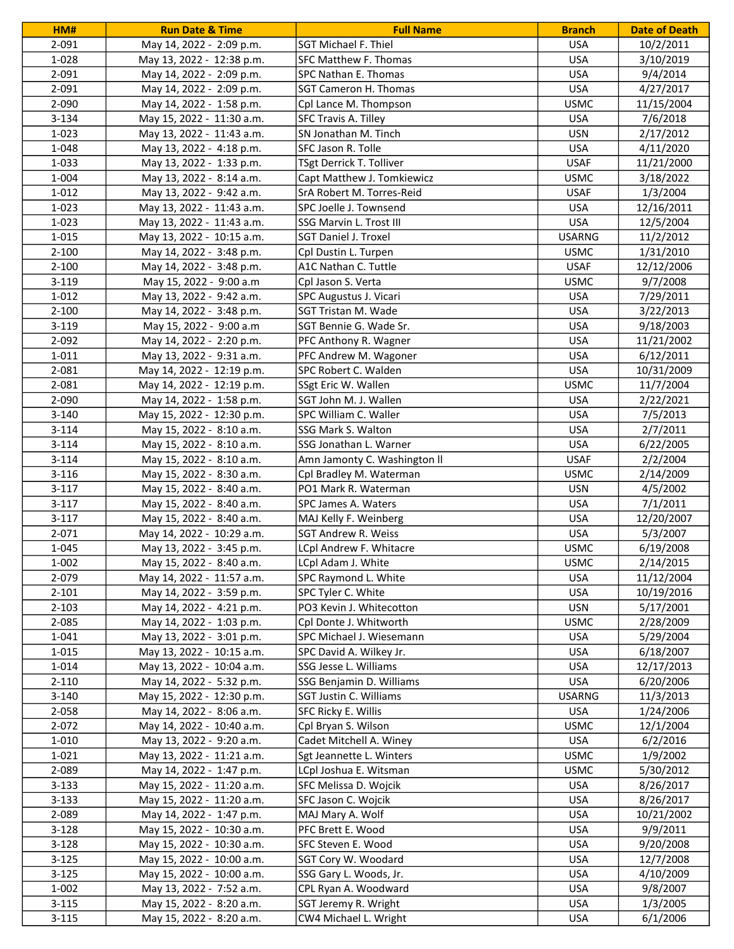| HM#                | <b>Run Date &amp; Time</b>                            | <b>Full Name</b>                                  | <b>Branch</b>            | <b>Date of Death</b>    |
|--------------------|-------------------------------------------------------|---------------------------------------------------|--------------------------|-------------------------|
| 2-091              | May 14, 2022 - 2:09 p.m.                              | <b>SGT Michael F. Thiel</b>                       | <b>USA</b>               | 10/2/2011               |
| 1-028              | May 13, 2022 - 12:38 p.m.                             | SFC Matthew F. Thomas                             | <b>USA</b>               | 3/10/2019               |
| 2-091              | May 14, 2022 - 2:09 p.m.                              | SPC Nathan E. Thomas                              | <b>USA</b>               | 9/4/2014                |
| 2-091              | May 14, 2022 - 2:09 p.m.                              | <b>SGT Cameron H. Thomas</b>                      | <b>USA</b>               | 4/27/2017               |
| 2-090              | May 14, 2022 - 1:58 p.m.                              | Cpl Lance M. Thompson                             | <b>USMC</b>              | 11/15/2004              |
| $3 - 134$          | May 15, 2022 - 11:30 a.m.                             | SFC Travis A. Tilley                              | <b>USA</b>               | 7/6/2018                |
| 1-023              | May 13, 2022 - 11:43 a.m.                             | SN Jonathan M. Tinch                              | <b>USN</b>               | 2/17/2012               |
| 1-048              | May 13, 2022 - 4:18 p.m.                              | SFC Jason R. Tolle                                | <b>USA</b>               | 4/11/2020               |
| 1-033              | May 13, 2022 - 1:33 p.m.                              | TSgt Derrick T. Tolliver                          | <b>USAF</b>              | 11/21/2000              |
| 1-004              | May 13, 2022 - 8:14 a.m.                              | Capt Matthew J. Tomkiewicz                        | <b>USMC</b>              | 3/18/2022               |
| 1-012              | May 13, 2022 - 9:42 a.m.                              | SrA Robert M. Torres-Reid                         | <b>USAF</b>              | 1/3/2004                |
| 1-023              | May 13, 2022 - 11:43 a.m.                             | SPC Joelle J. Townsend                            | <b>USA</b>               | 12/16/2011              |
| 1-023              | May 13, 2022 - 11:43 a.m.                             | SSG Marvin L. Trost III                           | <b>USA</b>               | 12/5/2004               |
| 1-015              | May 13, 2022 - 10:15 a.m.                             | <b>SGT Daniel J. Troxel</b>                       | <b>USARNG</b>            | 11/2/2012               |
| $2 - 100$          | May 14, 2022 - 3:48 p.m.                              | Cpl Dustin L. Turpen                              | <b>USMC</b>              | 1/31/2010               |
| $2 - 100$          | May 14, 2022 - 3:48 p.m.                              | A1C Nathan C. Tuttle                              | <b>USAF</b>              | 12/12/2006              |
| $3 - 119$          | May 15, 2022 - 9:00 a.m                               | Cpl Jason S. Verta                                | <b>USMC</b>              | 9/7/2008                |
| $1 - 012$          | May 13, 2022 - 9:42 a.m.                              | SPC Augustus J. Vicari                            | <b>USA</b>               | 7/29/2011               |
| $2 - 100$          | May 14, 2022 - 3:48 p.m.                              | SGT Tristan M. Wade                               | <b>USA</b>               | 3/22/2013               |
| $3 - 119$          | May 15, 2022 - 9:00 a.m                               | SGT Bennie G. Wade Sr.                            | <b>USA</b>               | 9/18/2003               |
| 2-092              | May 14, 2022 - 2:20 p.m.                              | PFC Anthony R. Wagner                             | <b>USA</b>               | 11/21/2002              |
| $1 - 011$          | May 13, 2022 - 9:31 a.m.                              | PFC Andrew M. Wagoner                             | <b>USA</b>               | 6/12/2011               |
| 2-081              | May 14, 2022 - 12:19 p.m.                             | SPC Robert C. Walden                              | <b>USA</b>               | 10/31/2009              |
| 2-081              | May 14, 2022 - 12:19 p.m.                             | SSgt Eric W. Wallen                               | <b>USMC</b>              | 11/7/2004               |
| 2-090              | May 14, 2022 - 1:58 p.m.                              | SGT John M. J. Wallen                             | <b>USA</b>               | 2/22/2021               |
| $3 - 140$          | May 15, 2022 - 12:30 p.m.                             | SPC William C. Waller                             | <b>USA</b>               | 7/5/2013                |
| $3 - 114$          | May 15, 2022 - 8:10 a.m.                              | SSG Mark S. Walton                                | <b>USA</b>               | 2/7/2011                |
| $3 - 114$          | May 15, 2022 - 8:10 a.m.                              | SSG Jonathan L. Warner                            | <b>USA</b>               | 6/22/2005               |
| $3 - 114$          | May 15, 2022 - 8:10 a.m.                              | Amn Jamonty C. Washington II                      | <b>USAF</b>              | 2/2/2004                |
| $3 - 116$          | May 15, 2022 - 8:30 a.m.                              | Cpl Bradley M. Waterman                           | <b>USMC</b>              | 2/14/2009               |
| $3-117$            | May 15, 2022 - 8:40 a.m.                              | PO1 Mark R. Waterman                              | <b>USN</b>               | 4/5/2002                |
| $3-117$            | May 15, 2022 - 8:40 a.m.                              | SPC James A. Waters                               | <b>USA</b>               | 7/1/2011                |
| $3-117$            | May 15, 2022 - 8:40 a.m.                              | MAJ Kelly F. Weinberg                             | <b>USA</b>               | 12/20/2007              |
| 2-071              | May 14, 2022 - 10:29 a.m.                             | <b>SGT Andrew R. Weiss</b>                        | <b>USA</b>               | 5/3/2007                |
| 1-045              | May 13, 2022 - 3:45 p.m.                              | LCpl Andrew F. Whitacre                           | <b>USMC</b>              | 6/19/2008               |
| 1-002              | May 15, 2022 - 8:40 a.m.                              | LCpl Adam J. White                                | <b>USMC</b>              | 2/14/2015               |
| 2-079              |                                                       |                                                   | <b>USA</b>               | 11/12/2004              |
| $2 - 101$          | May 14, 2022 - 11:57 a.m.<br>May 14, 2022 - 3:59 p.m. | SPC Raymond L. White<br>SPC Tyler C. White        | <b>USA</b>               | 10/19/2016              |
| $2 - 103$          | May 14, 2022 - 4:21 p.m.                              | PO3 Kevin J. Whitecotton                          | <b>USN</b>               | 5/17/2001               |
| 2-085              | May 14, 2022 - 1:03 p.m.                              | Cpl Donte J. Whitworth                            | <b>USMC</b>              | 2/28/2009               |
| 1-041              | May 13, 2022 - 3:01 p.m.                              | SPC Michael J. Wiesemann                          | <b>USA</b>               | 5/29/2004               |
| 1-015              | May 13, 2022 - 10:15 a.m.                             | SPC David A. Wilkey Jr.                           | <b>USA</b>               | 6/18/2007               |
|                    |                                                       |                                                   |                          |                         |
| 1-014<br>$2 - 110$ | May 13, 2022 - 10:04 a.m.<br>May 14, 2022 - 5:32 p.m. | SSG Jesse L. Williams<br>SSG Benjamin D. Williams | <b>USA</b><br><b>USA</b> | 12/17/2013<br>6/20/2006 |
|                    | May 15, 2022 - 12:30 p.m.                             | SGT Justin C. Williams                            | <b>USARNG</b>            | 11/3/2013               |
| $3 - 140$<br>2-058 |                                                       |                                                   | <b>USA</b>               | 1/24/2006               |
| 2-072              | May 14, 2022 - 8:06 a.m.                              | SFC Ricky E. Willis                               | <b>USMC</b>              |                         |
|                    | May 14, 2022 - 10:40 a.m.                             | Cpl Bryan S. Wilson                               |                          | 12/1/2004               |
| 1-010              | May 13, 2022 - 9:20 a.m.                              | Cadet Mitchell A. Winey                           | <b>USA</b>               | 6/2/2016                |
| 1-021              | May 13, 2022 - 11:21 a.m.                             | Sgt Jeannette L. Winters                          | <b>USMC</b>              | 1/9/2002                |
| 2-089              | May 14, 2022 - 1:47 p.m.                              | LCpl Joshua E. Witsman                            | <b>USMC</b>              | 5/30/2012               |
| $3 - 133$          | May 15, 2022 - 11:20 a.m.                             | SFC Melissa D. Wojcik                             | <b>USA</b>               | 8/26/2017               |
| $3 - 133$          | May 15, 2022 - 11:20 a.m.                             | SFC Jason C. Wojcik                               | <b>USA</b>               | 8/26/2017               |
| 2-089              | May 14, 2022 - 1:47 p.m.                              | MAJ Mary A. Wolf                                  | <b>USA</b>               | 10/21/2002              |
| $3-128$            | May 15, 2022 - 10:30 a.m.                             | PFC Brett E. Wood                                 | <b>USA</b>               | 9/9/2011                |
| $3 - 128$          | May 15, 2022 - 10:30 a.m.                             | SFC Steven E. Wood                                | <b>USA</b>               | 9/20/2008               |
| $3 - 125$          | May 15, 2022 - 10:00 a.m.                             | SGT Cory W. Woodard                               | <b>USA</b>               | 12/7/2008               |
| $3 - 125$          | May 15, 2022 - 10:00 a.m.                             | SSG Gary L. Woods, Jr.                            | <b>USA</b>               | 4/10/2009               |
| 1-002              | May 13, 2022 - 7:52 a.m.                              | CPL Ryan A. Woodward                              | <b>USA</b>               | 9/8/2007                |
| $3 - 115$          | May 15, 2022 - 8:20 a.m.                              | SGT Jeremy R. Wright                              | <b>USA</b>               | 1/3/2005                |
| $3 - 115$          | May 15, 2022 - 8:20 a.m.                              | CW4 Michael L. Wright                             | <b>USA</b>               | 6/1/2006                |